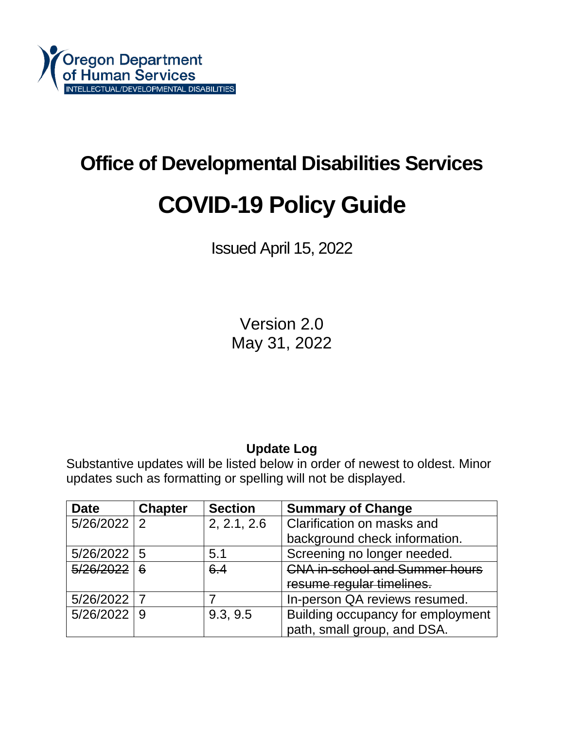# **Office of Developmental Disabilities Services COVID-19 Policy Guide**

Issued April 15, 2022

Version 2.0 May 31, 2022

# **Update Log**

Substantive updates will be listed below in order of newest to oldest. Minor updates such as formatting or spelling will not be displayed.

| <b>Date</b>     | <b>Chapter</b> | <b>Section</b> | <b>Summary of Change</b>              |  |
|-----------------|----------------|----------------|---------------------------------------|--|
| $5/26/2022$   2 |                | 2, 2.1, 2.6    | Clarification on masks and            |  |
|                 |                |                | background check information.         |  |
| $5/26/2022$ 5   |                | 5.1            | Screening no longer needed.           |  |
| 5/26/2022       | 6              | 6.4            | <b>CNA in-school and Summer hours</b> |  |
|                 |                |                | resume regular timelines.             |  |
| 5/26/2022 7     |                |                | In-person QA reviews resumed.         |  |
| $5/26/2022$ 9   |                | 9.3, 9.5       | Building occupancy for employment     |  |
|                 |                |                | path, small group, and DSA.           |  |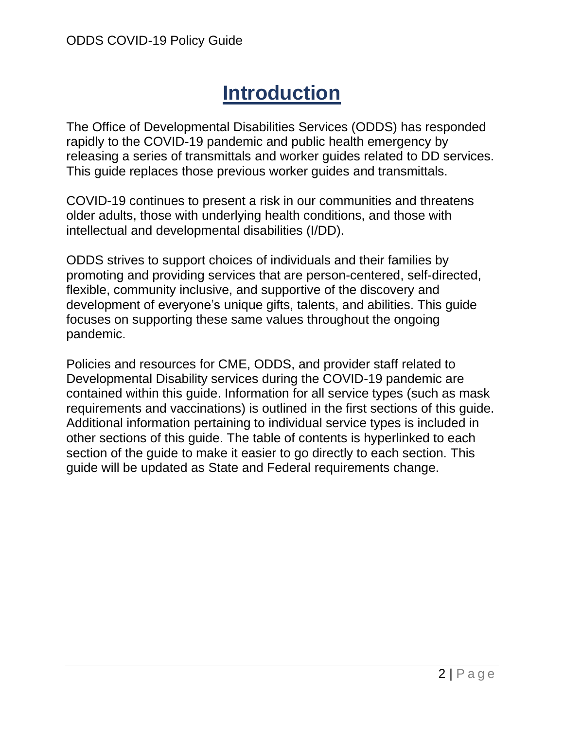# **Introduction**

The Office of Developmental Disabilities Services (ODDS) has responded rapidly to the COVID-19 pandemic and public health emergency by releasing a series of transmittals and worker guides related to DD services. This guide replaces those previous worker guides and transmittals.

COVID-19 continues to present a risk in our communities and threatens older adults, those with underlying health conditions, and those with intellectual and developmental disabilities (I/DD).

ODDS strives to support choices of individuals and their families by promoting and providing services that are person-centered, self-directed, flexible, community inclusive, and supportive of the discovery and development of everyone's unique gifts, talents, and abilities. This guide focuses on supporting these same values throughout the ongoing pandemic.

Policies and resources for CME, ODDS, and provider staff related to Developmental Disability services during the COVID-19 pandemic are contained within this guide. Information for all service types (such as mask requirements and vaccinations) is outlined in the first sections of this guide. Additional information pertaining to individual service types is included in other sections of this guide. The table of contents is hyperlinked to each section of the guide to make it easier to go directly to each section. This guide will be updated as State and Federal requirements change.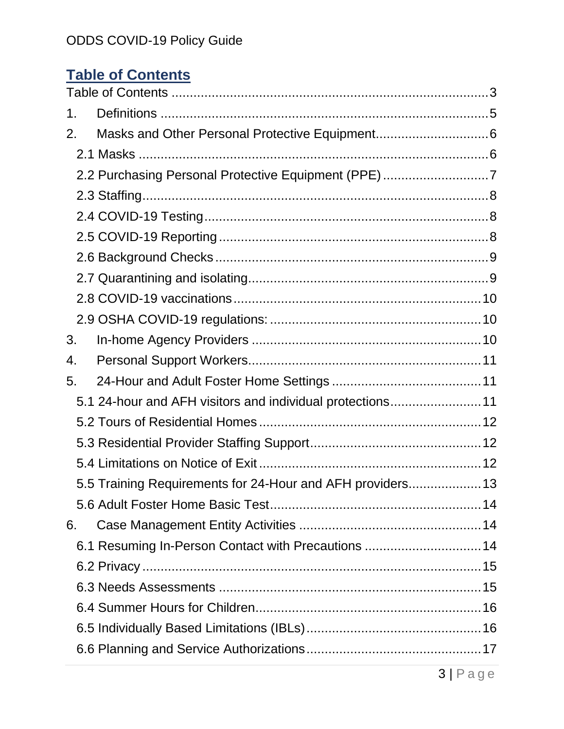# <span id="page-2-0"></span>**Table of Contents**

| 1. |                                                            |  |  |  |
|----|------------------------------------------------------------|--|--|--|
| 2. |                                                            |  |  |  |
|    |                                                            |  |  |  |
|    | 2.2 Purchasing Personal Protective Equipment (PPE)7        |  |  |  |
|    |                                                            |  |  |  |
|    |                                                            |  |  |  |
|    |                                                            |  |  |  |
|    |                                                            |  |  |  |
|    |                                                            |  |  |  |
|    |                                                            |  |  |  |
|    |                                                            |  |  |  |
| 3. |                                                            |  |  |  |
| 4. |                                                            |  |  |  |
| 5. |                                                            |  |  |  |
|    | 5.1 24-hour and AFH visitors and individual protections11  |  |  |  |
|    |                                                            |  |  |  |
|    |                                                            |  |  |  |
|    |                                                            |  |  |  |
|    | 5.5 Training Requirements for 24-Hour and AFH providers 13 |  |  |  |
|    |                                                            |  |  |  |
| 6. |                                                            |  |  |  |
|    | 6.1 Resuming In-Person Contact with Precautions  14        |  |  |  |
|    |                                                            |  |  |  |
|    |                                                            |  |  |  |
|    |                                                            |  |  |  |
|    |                                                            |  |  |  |
|    |                                                            |  |  |  |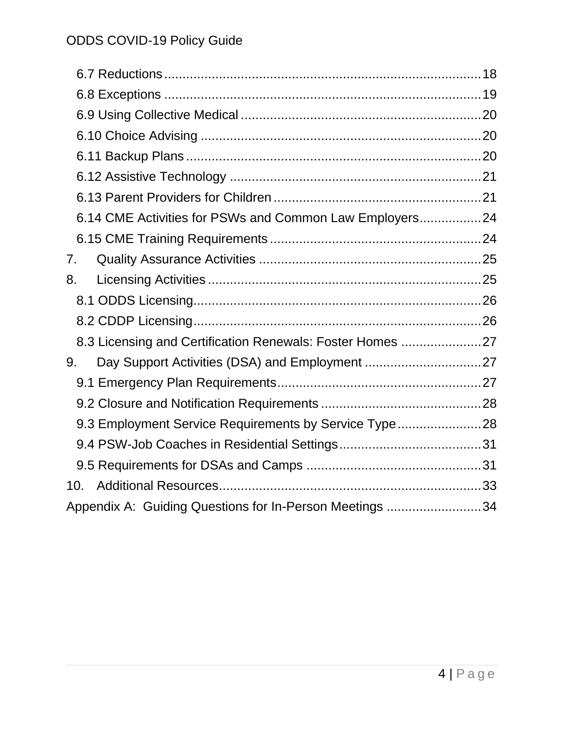| 6.14 CME Activities for PSWs and Common Law Employers24   |  |  |  |
|-----------------------------------------------------------|--|--|--|
|                                                           |  |  |  |
| 7.                                                        |  |  |  |
| 8.                                                        |  |  |  |
|                                                           |  |  |  |
|                                                           |  |  |  |
| 8.3 Licensing and Certification Renewals: Foster Homes 27 |  |  |  |
| 9.                                                        |  |  |  |
|                                                           |  |  |  |
|                                                           |  |  |  |
| 9.3 Employment Service Requirements by Service Type 28    |  |  |  |
|                                                           |  |  |  |
|                                                           |  |  |  |
| 10.                                                       |  |  |  |
| Appendix A: Guiding Questions for In-Person Meetings 34   |  |  |  |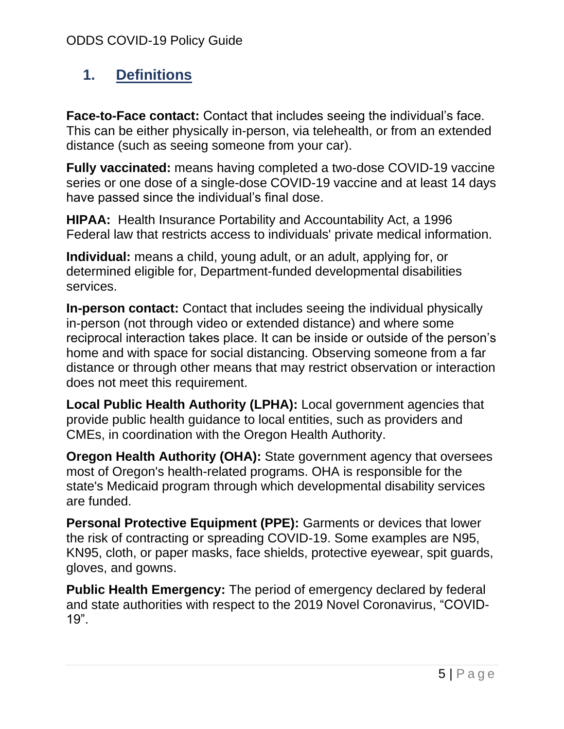# <span id="page-4-0"></span>**1. Definitions**

**Face-to-Face contact:** Contact that includes seeing the individual's face. This can be either physically in-person, via telehealth, or from an extended distance (such as seeing someone from your car).

**Fully vaccinated:** means having completed a two-dose COVID-19 vaccine series or one dose of a single-dose COVID-19 vaccine and at least 14 days have passed since the individual's final dose.

**HIPAA:** Health Insurance Portability and Accountability Act, a 1996 Federal law that restricts access to individuals' private medical information.

**Individual:** means a child, young adult, or an adult, applying for, or determined eligible for, Department-funded developmental disabilities services.

**In-person contact:** Contact that includes seeing the individual physically in-person (not through video or extended distance) and where some reciprocal interaction takes place. It can be inside or outside of the person's home and with space for social distancing. Observing someone from a far distance or through other means that may restrict observation or interaction does not meet this requirement.

**Local Public Health Authority (LPHA):** Local government agencies that provide public health guidance to local entities, such as providers and CMEs, in coordination with the Oregon Health Authority.

**Oregon Health Authority (OHA):** State government agency that oversees most of Oregon's health-related programs. OHA is responsible for the state's Medicaid program through which developmental disability services are funded.

**Personal Protective Equipment (PPE):** Garments or devices that lower the risk of contracting or spreading COVID-19. Some examples are N95, KN95, cloth, or paper masks, face shields, protective eyewear, spit guards, gloves, and gowns.

**Public Health Emergency:** The period of emergency declared by federal and state authorities with respect to the 2019 Novel Coronavirus, "COVID-19".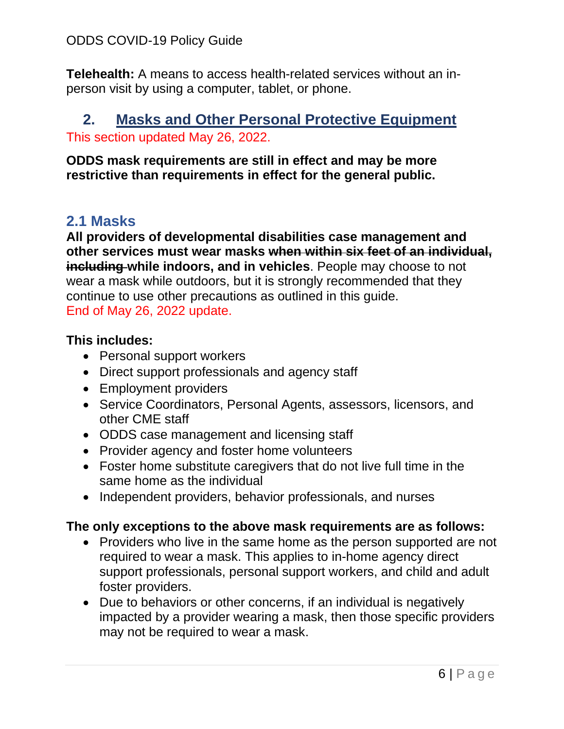**Telehealth:** A means to access health-related services without an inperson visit by using a computer, tablet, or phone.

## <span id="page-5-0"></span>**2. Masks and Other Personal Protective Equipment** This section updated May 26, 2022.

**ODDS mask requirements are still in effect and may be more restrictive than requirements in effect for the general public.** 

# <span id="page-5-1"></span>**2.1 Masks**

**All providers of developmental disabilities case management and other services must wear masks when within six feet of an individual, including while indoors, and in vehicles**. People may choose to not wear a mask while outdoors, but it is strongly recommended that they continue to use other precautions as outlined in this guide. End of May 26, 2022 update.

## **This includes:**

- Personal support workers
- Direct support professionals and agency staff
- Employment providers
- Service Coordinators, Personal Agents, assessors, licensors, and other CME staff
- ODDS case management and licensing staff
- Provider agency and foster home volunteers
- Foster home substitute caregivers that do not live full time in the same home as the individual
- Independent providers, behavior professionals, and nurses

# **The only exceptions to the above mask requirements are as follows:**

- Providers who live in the same home as the person supported are not required to wear a mask. This applies to in-home agency direct support professionals, personal support workers, and child and adult foster providers.
- Due to behaviors or other concerns, if an individual is negatively impacted by a provider wearing a mask, then those specific providers may not be required to wear a mask.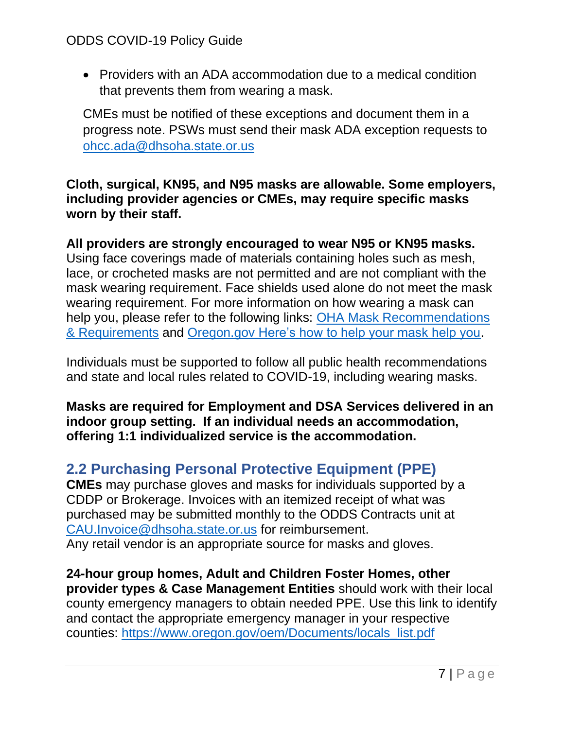• Providers with an ADA accommodation due to a medical condition that prevents them from wearing a mask.

CMEs must be notified of these exceptions and document them in a progress note. PSWs must send their mask ADA exception requests to [ohcc.ada@dhsoha.state.or.us](mailto:ohcc.ada@dhsoha.state.or.us)

**Cloth, surgical, KN95, and N95 masks are allowable. Some employers, including provider agencies or CMEs, may require specific masks worn by their staff.** 

**All providers are strongly encouraged to wear N95 or KN95 masks.** Using face coverings made of materials containing holes such as mesh, lace, or crocheted masks are not permitted and are not compliant with the mask wearing requirement. Face shields used alone do not meet the mask wearing requirement. For more information on how wearing a mask can help you, please refer to the following links: OHA Mask Recommendations [& Requirements](https://govstatus.egov.com/or-oha-face-coverings) and [Oregon.gov Here's how to help your mask help you.](https://www.oregon.gov/oha/ERD/COVID19Social/Help%20your%20mask%20help%20you%20(updated)%20(5).png)

Individuals must be supported to follow all public health recommendations and state and local rules related to COVID-19, including wearing masks.

**Masks are required for Employment and DSA Services delivered in an indoor group setting. If an individual needs an accommodation, offering 1:1 individualized service is the accommodation.**

# <span id="page-6-0"></span>**2.2 Purchasing Personal Protective Equipment (PPE)**

**CMEs** may purchase gloves and masks for individuals supported by a CDDP or Brokerage. Invoices with an itemized receipt of what was purchased may be submitted monthly to the ODDS Contracts unit at [CAU.Invoice@dhsoha.state.or.us](mailto:CAU.Invoice@dhsoha.state.or.us) for reimbursement. Any retail vendor is an appropriate source for masks and gloves.

**24-hour group homes, Adult and Children Foster Homes, other provider types & Case Management Entities** should work with their local county emergency managers to obtain needed PPE. Use this link to identify and contact the appropriate emergency manager in your respective counties: [https://www.oregon.gov/oem/Documents/locals\\_list.pdf](https://www.oregon.gov/oem/Documents/locals_list.pdf)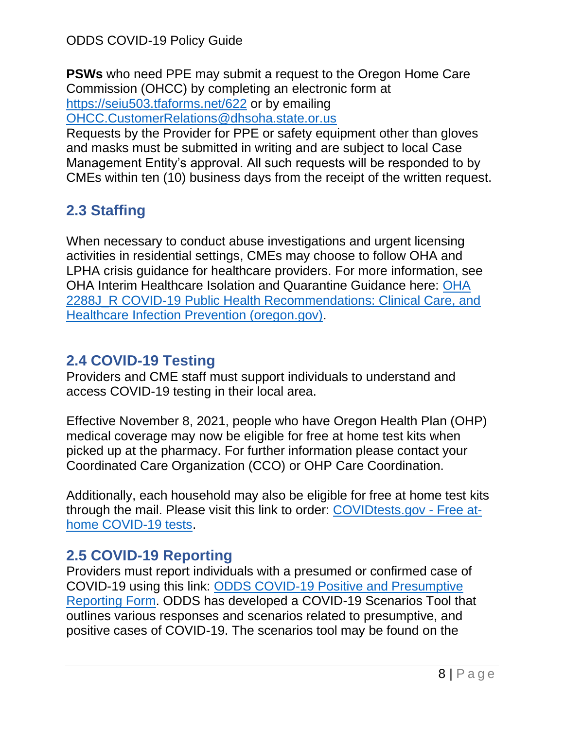**PSWs** who need PPE may submit a request to the Oregon Home Care Commission (OHCC) by completing an electronic form at <https://seiu503.tfaforms.net/622> or by emailing

[OHCC.CustomerRelations@dhsoha.state.or.us](mailto:OHCC.CustomerRelations@dhsoha.state.or.us)

Requests by the Provider for PPE or safety equipment other than gloves and masks must be submitted in writing and are subject to local Case Management Entity's approval. All such requests will be responded to by CMEs within ten (10) business days from the receipt of the written request.

# <span id="page-7-0"></span>**2.3 Staffing**

When necessary to conduct abuse investigations and urgent licensing activities in residential settings, CMEs may choose to follow OHA and LPHA crisis guidance for healthcare providers. For more information, see OHA Interim Healthcare Isolation and Quarantine Guidance here: [OHA](https://www.oregon.gov/oha/covid19/Documents/Interim-healthcare-isolation-quarantine-guidance.pdf)  [2288J\\_R COVID-19 Public Health Recommendations: Clinical Care, and](https://www.oregon.gov/oha/covid19/Documents/Interim-healthcare-isolation-quarantine-guidance.pdf)  [Healthcare Infection Prevention \(oregon.gov\).](https://www.oregon.gov/oha/covid19/Documents/Interim-healthcare-isolation-quarantine-guidance.pdf)

# <span id="page-7-1"></span>**2.4 COVID-19 Testing**

Providers and CME staff must support individuals to understand and access COVID-19 testing in their local area.

Effective November 8, 2021, people who have Oregon Health Plan (OHP) medical coverage may now be eligible for free at home test kits when picked up at the pharmacy. For further information please contact your Coordinated Care Organization (CCO) or OHP Care Coordination.

Additionally, each household may also be eligible for free at home test kits through the mail. Please visit this link to order: [COVIDtests.gov -](https://www.covidtests.gov/) Free at[home COVID-19 tests.](https://www.covidtests.gov/)

# <span id="page-7-2"></span>**2.5 COVID-19 Reporting**

Providers must report individuals with a presumed or confirmed case of COVID-19 using this link: [ODDS COVID-19 Positive and Presumptive](https://forms.office.com/pages/responsepage.aspx?id=6GOOZTmNnEmPSBOtyUUvTGMggKjrSxtFtUQw7ibY3K9UOEdJRFpFUzBZT1lSNk5ISEVQRVhUWjVPUy4u&wdLOR=c484A4743-71C2-4AAF-ABC0-D9E88C35AD5F)  [Reporting Form.](https://forms.office.com/pages/responsepage.aspx?id=6GOOZTmNnEmPSBOtyUUvTGMggKjrSxtFtUQw7ibY3K9UOEdJRFpFUzBZT1lSNk5ISEVQRVhUWjVPUy4u&wdLOR=c484A4743-71C2-4AAF-ABC0-D9E88C35AD5F) ODDS has developed a COVID-19 Scenarios Tool that outlines various responses and scenarios related to presumptive, and positive cases of COVID-19. The scenarios tool may be found on the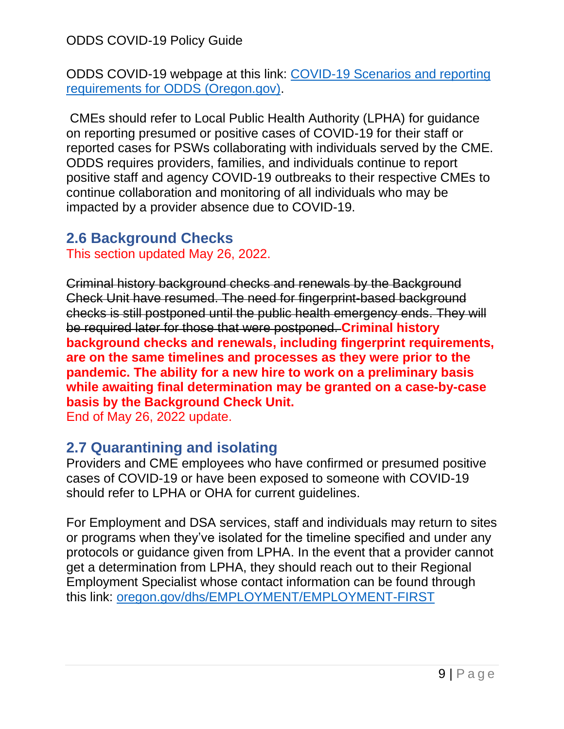ODDS COVID-19 webpage at this link: [COVID-19 Scenarios and reporting](https://www.oregon.gov/dhs/SENIORS-DISABILITIES/DD/ODDS%20Resource%20Library/Scenarios-ODDS-Services-Related-COVID-19.pdf)  [requirements for ODDS \(Oregon.gov\).](https://www.oregon.gov/dhs/SENIORS-DISABILITIES/DD/ODDS%20Resource%20Library/Scenarios-ODDS-Services-Related-COVID-19.pdf)

CMEs should refer to Local Public Health Authority (LPHA) for guidance on reporting presumed or positive cases of COVID-19 for their staff or reported cases for PSWs collaborating with individuals served by the CME. ODDS requires providers, families, and individuals continue to report positive staff and agency COVID-19 outbreaks to their respective CMEs to continue collaboration and monitoring of all individuals who may be impacted by a provider absence due to COVID-19.

# <span id="page-8-0"></span>**2.6 Background Checks**

This section updated May 26, 2022.

Criminal history background checks and renewals by the Background Check Unit have resumed. The need for fingerprint-based background checks is still postponed until the public health emergency ends. They will be required later for those that were postponed. **Criminal history background checks and renewals, including fingerprint requirements, are on the same timelines and processes as they were prior to the pandemic. The ability for a new hire to work on a preliminary basis while awaiting final determination may be granted on a case-by-case basis by the Background Check Unit.**

End of May 26, 2022 update.

# <span id="page-8-1"></span>**2.7 Quarantining and isolating**

Providers and CME employees who have confirmed or presumed positive cases of COVID-19 or have been exposed to someone with COVID-19 should refer to LPHA or OHA for current guidelines.

For Employment and DSA services, staff and individuals may return to sites or programs when they've isolated for the timeline specified and under any protocols or guidance given from LPHA. In the event that a provider cannot get a determination from LPHA, they should reach out to their Regional Employment Specialist whose contact information can be found through this link: [oregon.gov/dhs/EMPLOYMENT/EMPLOYMENT-FIRST](https://www.oregon.gov/dhs/EMPLOYMENT/EMPLOYMENT-FIRST/Documents/VR-ODE-ODDS-Regional-Employment-Specialists.pdf)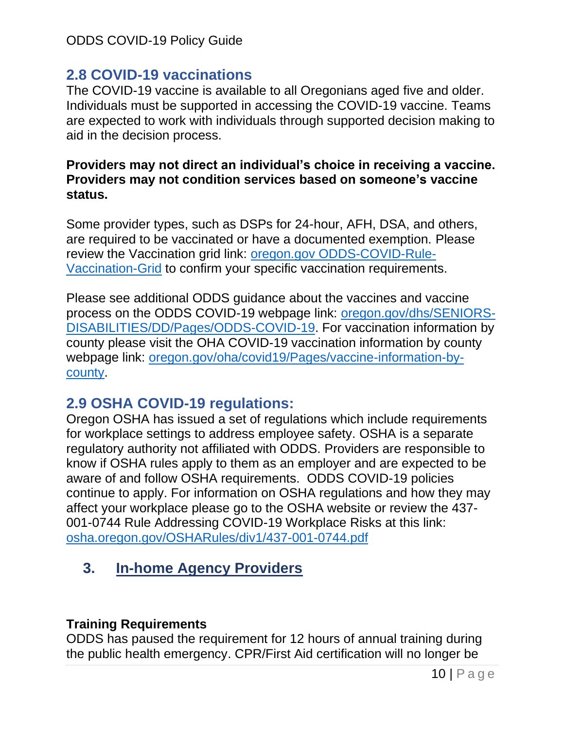# <span id="page-9-0"></span>**2.8 COVID-19 vaccinations**

The COVID-19 vaccine is available to all Oregonians aged five and older. Individuals must be supported in accessing the COVID-19 vaccine. Teams are expected to work with individuals through supported decision making to aid in the decision process.

#### **Providers may not direct an individual's choice in receiving a vaccine. Providers may not condition services based on someone's vaccine status.**

Some provider types, such as DSPs for 24-hour, AFH, DSA, and others, are required to be vaccinated or have a documented exemption. Please review the Vaccination grid link: [oregon.gov ODDS-COVID-Rule-](https://www.oregon.gov/dhs/SENIORS-DISABILITIES/DD/ODDS%20Resource%20Library/ODDS-COVID-Rule-Vaccination-Grid.pdf)[Vaccination-Grid](https://www.oregon.gov/dhs/SENIORS-DISABILITIES/DD/ODDS%20Resource%20Library/ODDS-COVID-Rule-Vaccination-Grid.pdf) to confirm your specific vaccination requirements.

Please see additional ODDS guidance about the vaccines and vaccine process on the ODDS COVID-19 webpage link: [oregon.gov/dhs/SENIORS-](https://www.oregon.gov/dhs/SENIORS-DISABILITIES/DD/Pages/ODDS-COVID-19-Information.aspx)[DISABILITIES/DD/Pages/ODDS-COVID-19.](https://www.oregon.gov/dhs/SENIORS-DISABILITIES/DD/Pages/ODDS-COVID-19-Information.aspx) For vaccination information by county please visit the OHA COVID-19 vaccination information by county webpage link: [oregon.gov/oha/covid19/Pages/vaccine-information-by](https://www.oregon.gov/oha/covid19/Pages/vaccine-information-by-county.aspx)[county.](https://www.oregon.gov/oha/covid19/Pages/vaccine-information-by-county.aspx)

# <span id="page-9-1"></span>**2.9 OSHA COVID-19 regulations:**

Oregon OSHA has issued a set of regulations which include requirements for workplace settings to address employee safety. OSHA is a separate regulatory authority not affiliated with ODDS. Providers are responsible to know if OSHA rules apply to them as an employer and are expected to be aware of and follow OSHA requirements. ODDS COVID-19 policies continue to apply. For information on OSHA regulations and how they may affect your workplace please go to the OSHA website or review the 437- 001-0744 Rule Addressing COVID-19 Workplace Risks at this link: [osha.oregon.gov/OSHARules/div1/437-001-0744.pdf](https://osha.oregon.gov/OSHARules/div1/437-001-0744.pdf)

# <span id="page-9-2"></span>**3. In-home Agency Providers**

#### **Training Requirements**

ODDS has paused the requirement for 12 hours of annual training during the public health emergency. CPR/First Aid certification will no longer be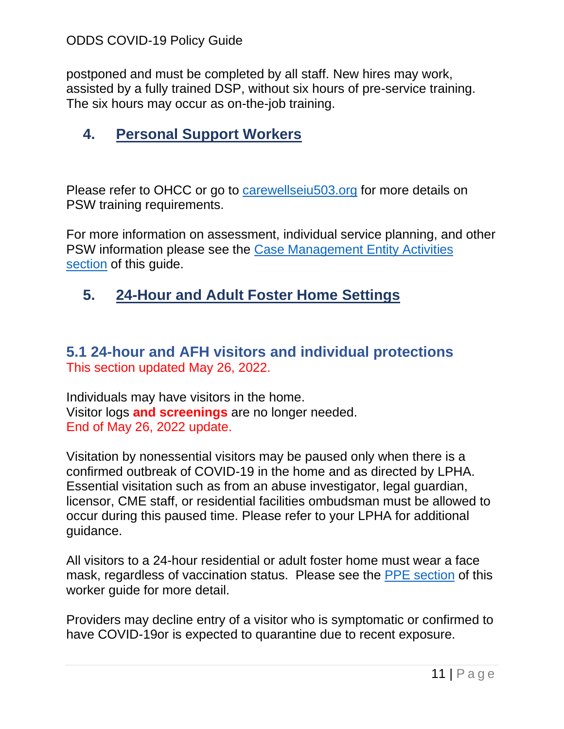postponed and must be completed by all staff. New hires may work, assisted by a fully trained DSP, without six hours of pre-service training. The six hours may occur as on-the-job training.

# <span id="page-10-0"></span>**4. Personal Support Workers**

Please refer to OHCC or go to [carewellseiu503.org](https://www.carewellseiu503.org/training/) for more details on PSW training requirements.

For more information on assessment, individual service planning, and other PSW information please see the [Case Management Entity Activities](#page-13-1)  [section](#page-13-1) of this guide.

# <span id="page-10-1"></span>**5. 24-Hour and Adult Foster Home Settings**

## <span id="page-10-2"></span>**5.1 24-hour and AFH visitors and individual protections** This section updated May 26, 2022.

Individuals may have visitors in the home. Visitor logs **and screenings** are no longer needed. End of May 26, 2022 update.

Visitation by nonessential visitors may be paused only when there is a confirmed outbreak of COVID-19 in the home and as directed by LPHA. Essential visitation such as from an abuse investigator, legal guardian, licensor, CME staff, or residential facilities ombudsman must be allowed to occur during this paused time. Please refer to your LPHA for additional guidance.

All visitors to a 24-hour residential or adult foster home must wear a face mask, regardless of vaccination status. Please see the [PPE section](#page-5-0) of this worker guide for more detail.

Providers may decline entry of a visitor who is symptomatic or confirmed to have COVID-19or is expected to quarantine due to recent exposure.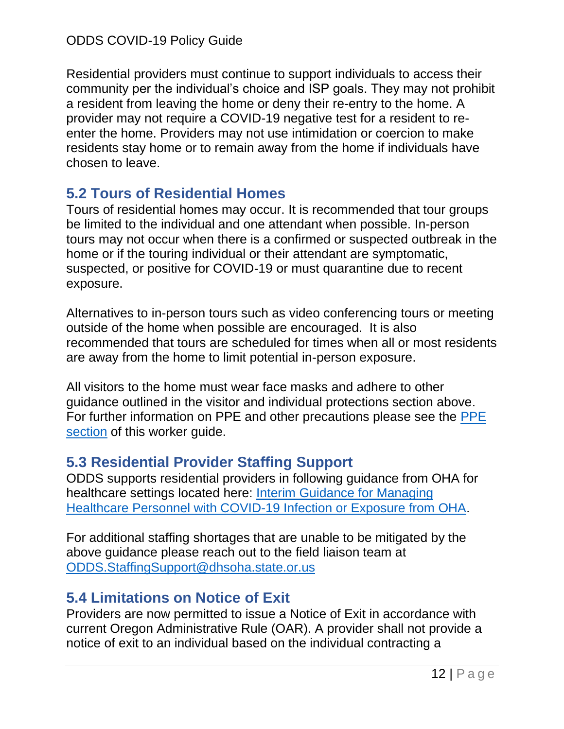Residential providers must continue to support individuals to access their community per the individual's choice and ISP goals. They may not prohibit a resident from leaving the home or deny their re-entry to the home. A provider may not require a COVID-19 negative test for a resident to reenter the home. Providers may not use intimidation or coercion to make residents stay home or to remain away from the home if individuals have chosen to leave.

# <span id="page-11-0"></span>**5.2 Tours of Residential Homes**

Tours of residential homes may occur. It is recommended that tour groups be limited to the individual and one attendant when possible. In-person tours may not occur when there is a confirmed or suspected outbreak in the home or if the touring individual or their attendant are symptomatic, suspected, or positive for COVID-19 or must quarantine due to recent exposure.

Alternatives to in-person tours such as video conferencing tours or meeting outside of the home when possible are encouraged. It is also recommended that tours are scheduled for times when all or most residents are away from the home to limit potential in-person exposure.

All visitors to the home must wear face masks and adhere to other guidance outlined in the visitor and individual protections section above. For further information on PPE and other precautions please see the [PPE](#page-5-0)  [section](#page-5-0) of this worker guide.

# <span id="page-11-1"></span>**5.3 Residential Provider Staffing Support**

ODDS supports residential providers in following guidance from OHA for healthcare settings located here: [Interim Guidance for Managing](https://www.oregon.gov/oha/covid19/Documents/Interim-healthcare-isolation-quarantine-guidance.pdf)  [Healthcare Personnel with COVID-19 Infection or Exposure from OHA.](https://www.oregon.gov/oha/covid19/Documents/Interim-healthcare-isolation-quarantine-guidance.pdf)

For additional staffing shortages that are unable to be mitigated by the above guidance please reach out to the field liaison team at [ODDS.StaffingSupport@dhsoha.state.or.us](mailto:ODDS.StaffingSupport@dhsoha.state.or.us)

# <span id="page-11-2"></span>**5.4 Limitations on Notice of Exit**

Providers are now permitted to issue a Notice of Exit in accordance with current Oregon Administrative Rule (OAR). A provider shall not provide a notice of exit to an individual based on the individual contracting a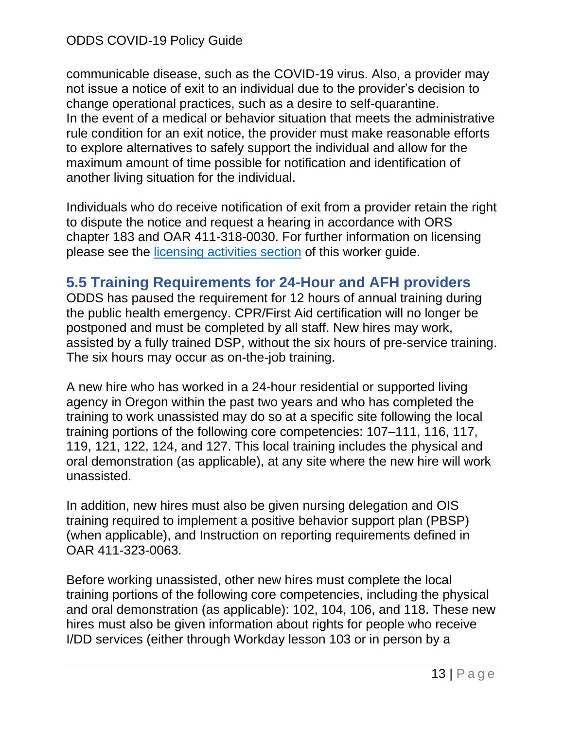communicable disease, such as the COVID-19 virus. Also, a provider may not issue a notice of exit to an individual due to the provider's decision to change operational practices, such as a desire to self-quarantine. In the event of a medical or behavior situation that meets the administrative rule condition for an exit notice, the provider must make reasonable efforts to explore alternatives to safely support the individual and allow for the maximum amount of time possible for notification and identification of another living situation for the individual.

Individuals who do receive notification of exit from a provider retain the right to dispute the notice and request a hearing in accordance with ORS chapter 183 and OAR 411-318-0030. For further information on licensing please see the licensing [activities section](#page-24-1) of this worker guide.

# <span id="page-12-0"></span>**5.5 Training Requirements for 24-Hour and AFH providers**

ODDS has paused the requirement for 12 hours of annual training during the public health emergency. CPR/First Aid certification will no longer be postponed and must be completed by all staff. New hires may work, assisted by a fully trained DSP, without the six hours of pre-service training. The six hours may occur as on-the-job training.

A new hire who has worked in a 24-hour residential or supported living agency in Oregon within the past two years and who has completed the training to work unassisted may do so at a specific site following the local training portions of the following core competencies: 107–111, 116, 117, 119, 121, 122, 124, and 127. This local training includes the physical and oral demonstration (as applicable), at any site where the new hire will work unassisted.

In addition, new hires must also be given nursing delegation and OIS training required to implement a positive behavior support plan (PBSP) (when applicable), and Instruction on reporting requirements defined in OAR 411-323-0063.

Before working unassisted, other new hires must complete the local training portions of the following core competencies, including the physical and oral demonstration (as applicable): 102, 104, 106, and 118. These new hires must also be given information about rights for people who receive I/DD services (either through Workday lesson 103 or in person by a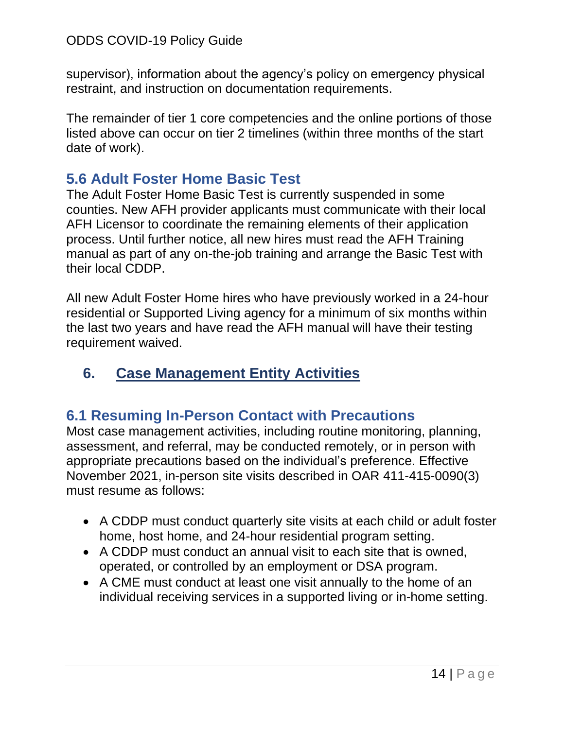supervisor), information about the agency's policy on emergency physical restraint, and instruction on documentation requirements.

The remainder of tier 1 core competencies and the online portions of those listed above can occur on tier 2 timelines (within three months of the start date of work).

# <span id="page-13-0"></span>**5.6 Adult Foster Home Basic Test**

The Adult Foster Home Basic Test is currently suspended in some counties. New AFH provider applicants must communicate with their local AFH Licensor to coordinate the remaining elements of their application process. Until further notice, all new hires must read the AFH Training manual as part of any on-the-job training and arrange the Basic Test with their local CDDP.

All new Adult Foster Home hires who have previously worked in a 24-hour residential or Supported Living agency for a minimum of six months within the last two years and have read the AFH manual will have their testing requirement waived.

# <span id="page-13-1"></span>**6. Case Management Entity Activities**

# <span id="page-13-2"></span>**6.1 Resuming In-Person Contact with Precautions**

Most case management activities, including routine monitoring, planning, assessment, and referral, may be conducted remotely, or in person with appropriate precautions based on the individual's preference. Effective November 2021, in-person site visits described in OAR 411-415-0090(3) must resume as follows:

- A CDDP must conduct quarterly site visits at each child or adult foster home, host home, and 24-hour residential program setting.
- A CDDP must conduct an annual visit to each site that is owned, operated, or controlled by an employment or DSA program.
- A CME must conduct at least one visit annually to the home of an individual receiving services in a supported living or in-home setting.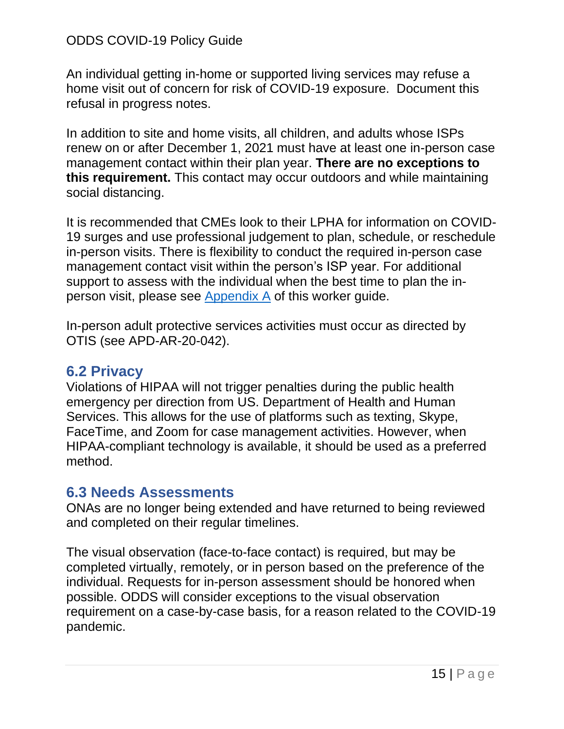An individual getting in-home or supported living services may refuse a home visit out of concern for risk of COVID-19 exposure. Document this refusal in progress notes.

In addition to site and home visits, all children, and adults whose ISPs renew on or after December 1, 2021 must have at least one in-person case management contact within their plan year. **There are no exceptions to this requirement.** This contact may occur outdoors and while maintaining social distancing.

It is recommended that CMEs look to their LPHA for information on COVID-19 surges and use professional judgement to plan, schedule, or reschedule in-person visits. There is flexibility to conduct the required in-person case management contact visit within the person's ISP year. For additional support to assess with the individual when the best time to plan the inperson visit, please see [Appendix A](#page-33-1) of this worker guide.

In-person adult protective services activities must occur as directed by OTIS (see APD-AR-20-042).

## <span id="page-14-0"></span>**6.2 Privacy**

Violations of HIPAA will not trigger penalties during the public health emergency per direction from US. Department of Health and Human Services. This allows for the use of platforms such as texting, Skype, FaceTime, and Zoom for case management activities. However, when HIPAA-compliant technology is available, it should be used as a preferred method.

## <span id="page-14-1"></span>**6.3 Needs Assessments**

ONAs are no longer being extended and have returned to being reviewed and completed on their regular timelines.

The visual observation (face-to-face contact) is required, but may be completed virtually, remotely, or in person based on the preference of the individual. Requests for in-person assessment should be honored when possible. ODDS will consider exceptions to the visual observation requirement on a case-by-case basis, for a reason related to the COVID-19 pandemic.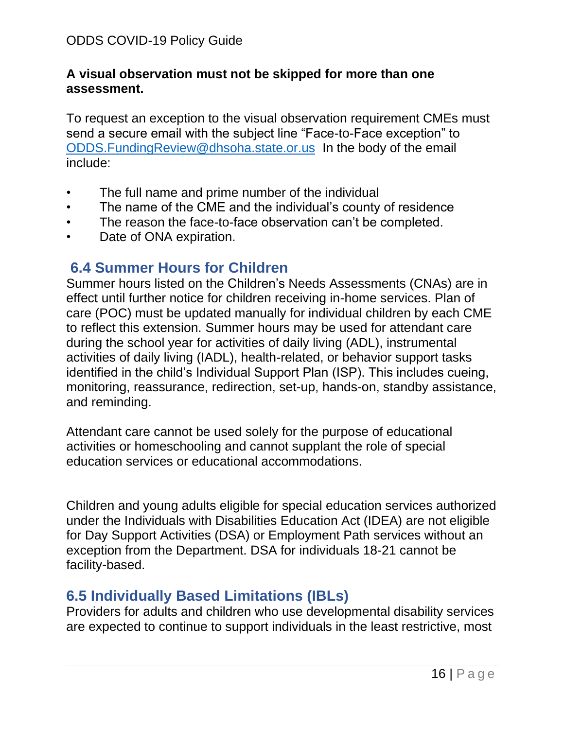#### **A visual observation must not be skipped for more than one assessment.**

To request an exception to the visual observation requirement CMEs must send a secure email with the subject line "Face-to-Face exception" to [ODDS.FundingReview@dhsoha.state.or.us](mailto:ODDS.FundingReview@dhsoha.state.or.us) In the body of the email include:

- The full name and prime number of the individual
- The name of the CME and the individual's county of residence
- The reason the face-to-face observation can't be completed.
- Date of ONA expiration.

## <span id="page-15-0"></span>**6.4 Summer Hours for Children**

Summer hours listed on the Children's Needs Assessments (CNAs) are in effect until further notice for children receiving in-home services. Plan of care (POC) must be updated manually for individual children by each CME to reflect this extension. Summer hours may be used for attendant care during the school year for activities of daily living (ADL), instrumental activities of daily living (IADL), health-related, or behavior support tasks identified in the child's Individual Support Plan (ISP). This includes cueing, monitoring, reassurance, redirection, set-up, hands-on, standby assistance, and reminding.

Attendant care cannot be used solely for the purpose of educational activities or homeschooling and cannot supplant the role of special education services or educational accommodations.

Children and young adults eligible for special education services authorized under the Individuals with Disabilities Education Act (IDEA) are not eligible for Day Support Activities (DSA) or Employment Path services without an exception from the Department. DSA for individuals 18-21 cannot be facility-based.

# <span id="page-15-1"></span>**6.5 Individually Based Limitations (IBLs)**

Providers for adults and children who use developmental disability services are expected to continue to support individuals in the least restrictive, most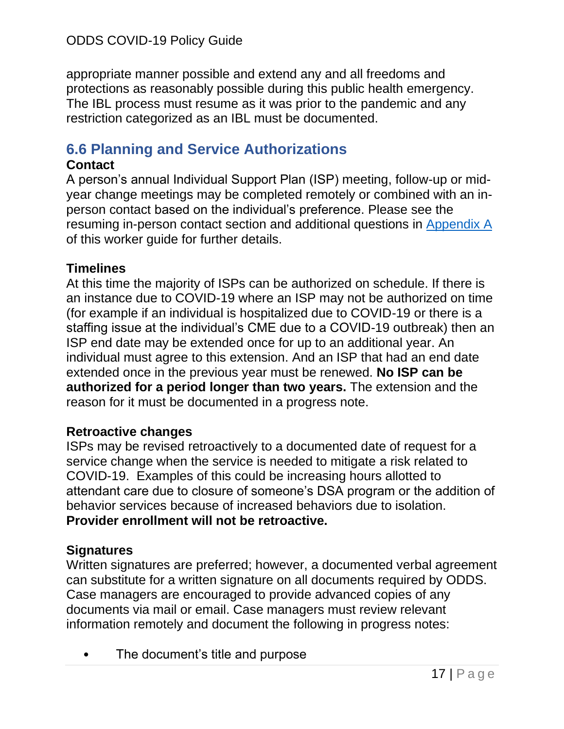appropriate manner possible and extend any and all freedoms and protections as reasonably possible during this public health emergency. The IBL process must resume as it was prior to the pandemic and any restriction categorized as an IBL must be documented.

# <span id="page-16-0"></span>**6.6 Planning and Service Authorizations**

#### **Contact**

A person's annual Individual Support Plan (ISP) meeting, follow-up or midyear change meetings may be completed remotely or combined with an inperson contact based on the individual's preference. Please see the resuming in-person contact section and additional questions in [Appendix](#page-33-1) A of this worker guide for further details.

## **Timelines**

At this time the majority of ISPs can be authorized on schedule. If there is an instance due to COVID-19 where an ISP may not be authorized on time (for example if an individual is hospitalized due to COVID-19 or there is a staffing issue at the individual's CME due to a COVID-19 outbreak) then an ISP end date may be extended once for up to an additional year. An individual must agree to this extension. And an ISP that had an end date extended once in the previous year must be renewed. **No ISP can be authorized for a period longer than two years.** The extension and the reason for it must be documented in a progress note.

## **Retroactive changes**

ISPs may be revised retroactively to a documented date of request for a service change when the service is needed to mitigate a risk related to COVID-19. Examples of this could be increasing hours allotted to attendant care due to closure of someone's DSA program or the addition of behavior services because of increased behaviors due to isolation. **Provider enrollment will not be retroactive.** 

## **Signatures**

Written signatures are preferred; however, a documented verbal agreement can substitute for a written signature on all documents required by ODDS. Case managers are encouraged to provide advanced copies of any documents via mail or email. Case managers must review relevant information remotely and document the following in progress notes:

The document's title and purpose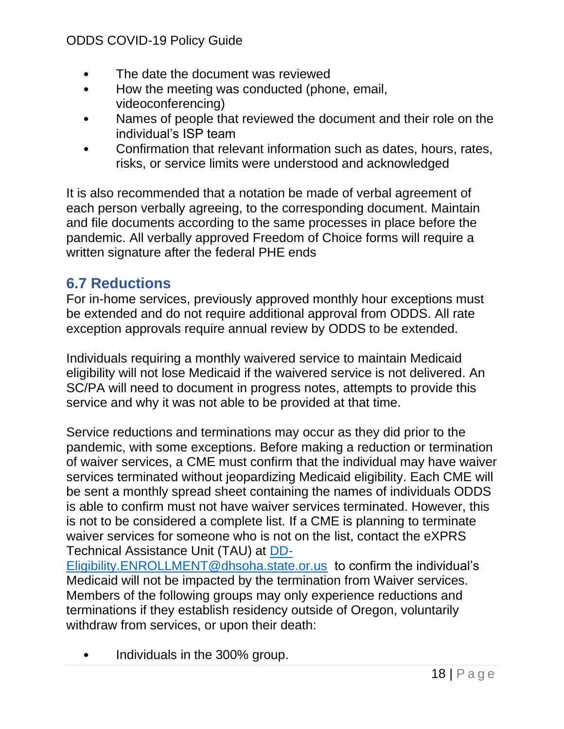- The date the document was reviewed
- How the meeting was conducted (phone, email, videoconferencing)
- Names of people that reviewed the document and their role on the individual's ISP team
- Confirmation that relevant information such as dates, hours, rates, risks, or service limits were understood and acknowledged

It is also recommended that a notation be made of verbal agreement of each person verbally agreeing, to the corresponding document. Maintain and file documents according to the same processes in place before the pandemic. All verbally approved Freedom of Choice forms will require a written signature after the federal PHE ends

# <span id="page-17-0"></span>**6.7 Reductions**

For in-home services, previously approved monthly hour exceptions must be extended and do not require additional approval from ODDS. All rate exception approvals require annual review by ODDS to be extended.

Individuals requiring a monthly waivered service to maintain Medicaid eligibility will not lose Medicaid if the waivered service is not delivered. An SC/PA will need to document in progress notes, attempts to provide this service and why it was not able to be provided at that time.

Service reductions and terminations may occur as they did prior to the pandemic, with some exceptions. Before making a reduction or termination of waiver services, a CME must confirm that the individual may have waiver services terminated without jeopardizing Medicaid eligibility. Each CME will be sent a monthly spread sheet containing the names of individuals ODDS is able to confirm must not have waiver services terminated. However, this is not to be considered a complete list. If a CME is planning to terminate waiver services for someone who is not on the list, contact the eXPRS Technical Assistance Unit (TAU) at [DD-](mailto:DD-Eligibility.ENROLLMENT@dhsoha.state.or.us)

[Eligibility.ENROLLMENT@dhsoha.state.or.us](mailto:DD-Eligibility.ENROLLMENT@dhsoha.state.or.us) to confirm the individual's Medicaid will not be impacted by the termination from Waiver services. Members of the following groups may only experience reductions and terminations if they establish residency outside of Oregon, voluntarily withdraw from services, or upon their death:

• Individuals in the 300% group.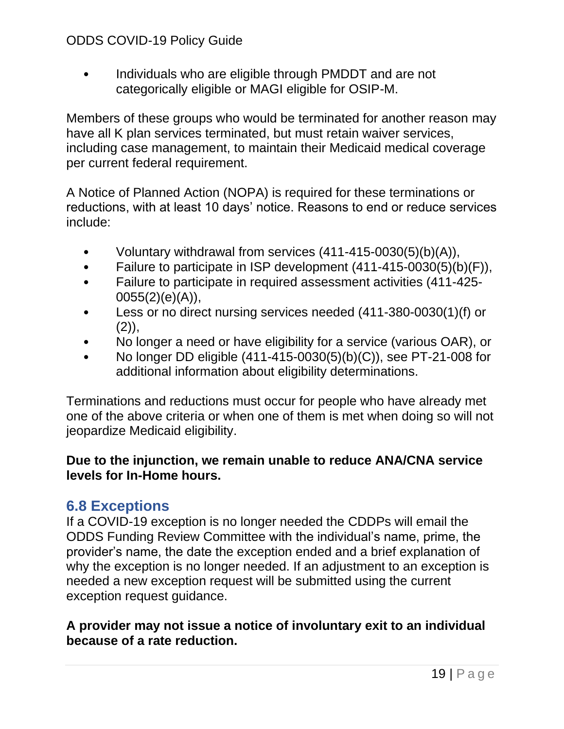• Individuals who are eligible through PMDDT and are not categorically eligible or MAGI eligible for OSIP-M.

Members of these groups who would be terminated for another reason may have all K plan services terminated, but must retain waiver services, including case management, to maintain their Medicaid medical coverage per current federal requirement.

A Notice of Planned Action (NOPA) is required for these terminations or reductions, with at least 10 days' notice. Reasons to end or reduce services include:

- Voluntary withdrawal from services (411-415-0030(5)(b)(A)),
- Failure to participate in ISP development (411-415-0030(5)(b)(F)),
- Failure to participate in required assessment activities (411-425- 0055(2)(e)(A)),
- Less or no direct nursing services needed (411-380-0030(1)(f) or  $(2)$ ,
- No longer a need or have eligibility for a service (various OAR), or
- No longer DD eligible  $(411-415-0030(5)(b)(C))$ , see PT-21-008 for additional information about eligibility determinations.

Terminations and reductions must occur for people who have already met one of the above criteria or when one of them is met when doing so will not jeopardize Medicaid eligibility.

#### **Due to the injunction, we remain unable to reduce ANA/CNA service levels for In-Home hours.**

# <span id="page-18-0"></span>**6.8 Exceptions**

If a COVID-19 exception is no longer needed the CDDPs will email the ODDS Funding Review Committee with the individual's name, prime, the provider's name, the date the exception ended and a brief explanation of why the exception is no longer needed. If an adjustment to an exception is needed a new exception request will be submitted using the current exception request guidance.

#### **A provider may not issue a notice of involuntary exit to an individual because of a rate reduction.**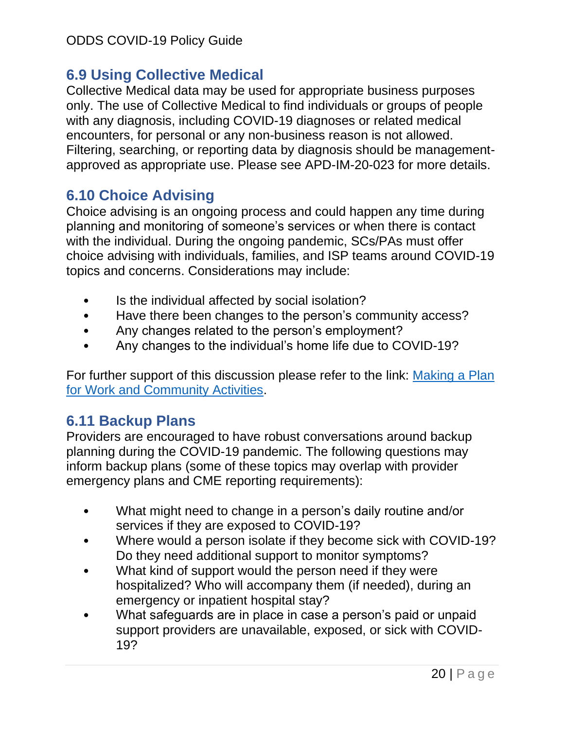# <span id="page-19-0"></span>**6.9 Using Collective Medical**

Collective Medical data may be used for appropriate business purposes only. The use of Collective Medical to find individuals or groups of people with any diagnosis, including COVID-19 diagnoses or related medical encounters, for personal or any non-business reason is not allowed. Filtering, searching, or reporting data by diagnosis should be managementapproved as appropriate use. Please see APD-IM-20-023 for more details.

# <span id="page-19-1"></span>**6.10 Choice Advising**

Choice advising is an ongoing process and could happen any time during planning and monitoring of someone's services or when there is contact with the individual. During the ongoing pandemic, SCs/PAs must offer choice advising with individuals, families, and ISP teams around COVID-19 topics and concerns. Considerations may include:

- Is the individual affected by social isolation?
- Have there been changes to the person's community access?
- Any changes related to the person's employment?
- Any changes to the individual's home life due to COVID-19?

For further support of this discussion please refer to the link: [Making a Plan](https://www.oregon.gov/DHS/SENIORS-DISABILITIES/DD/ODDS%20Resource%20Library/Developing-Plan-Return-Work-Activities.pdf)  [for Work and Community Activities.](https://www.oregon.gov/DHS/SENIORS-DISABILITIES/DD/ODDS%20Resource%20Library/Developing-Plan-Return-Work-Activities.pdf)

# <span id="page-19-2"></span>**6.11 Backup Plans**

Providers are encouraged to have robust conversations around backup planning during the COVID-19 pandemic. The following questions may inform backup plans (some of these topics may overlap with provider emergency plans and CME reporting requirements):

- What might need to change in a person's daily routine and/or services if they are exposed to COVID-19?
- Where would a person isolate if they become sick with COVID-19? Do they need additional support to monitor symptoms?
- What kind of support would the person need if they were hospitalized? Who will accompany them (if needed), during an emergency or inpatient hospital stay?
- What safeguards are in place in case a person's paid or unpaid support providers are unavailable, exposed, or sick with COVID-19?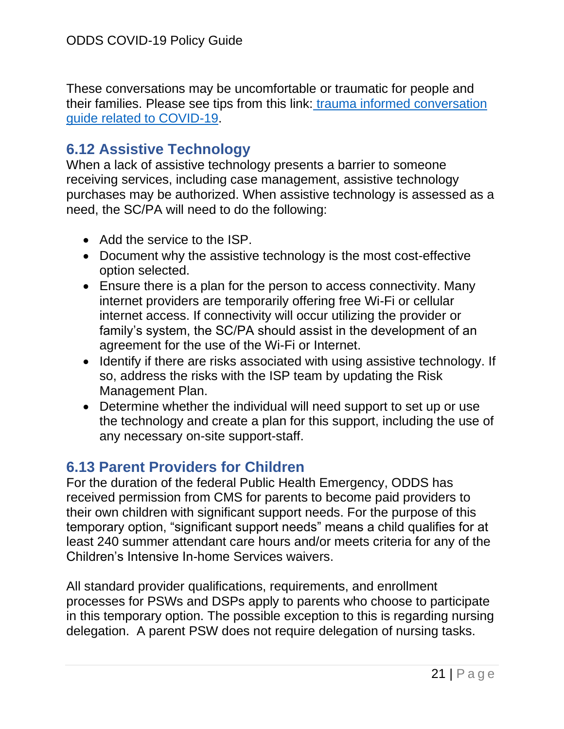These conversations may be uncomfortable or traumatic for people and their families. Please see tips from this link: [trauma informed conversation](https://traumainformedoregon.org/wp-content/uploads/2020/03/Considerations-for-COVID-19-Trauma-Informed-Response.pdf)  [guide related to COVID-19.](https://traumainformedoregon.org/wp-content/uploads/2020/03/Considerations-for-COVID-19-Trauma-Informed-Response.pdf)

# <span id="page-20-0"></span>**6.12 Assistive Technology**

When a lack of assistive technology presents a barrier to someone receiving services, including case management, assistive technology purchases may be authorized. When assistive technology is assessed as a need, the SC/PA will need to do the following:

- Add the service to the ISP.
- Document why the assistive technology is the most cost-effective option selected.
- Ensure there is a plan for the person to access connectivity. Many internet providers are temporarily offering free Wi-Fi or cellular internet access. If connectivity will occur utilizing the provider or family's system, the SC/PA should assist in the development of an agreement for the use of the Wi-Fi or Internet.
- Identify if there are risks associated with using assistive technology. If so, address the risks with the ISP team by updating the Risk Management Plan.
- Determine whether the individual will need support to set up or use the technology and create a plan for this support, including the use of any necessary on-site support-staff.

# <span id="page-20-1"></span>**6.13 Parent Providers for Children**

For the duration of the federal Public Health Emergency, ODDS has received permission from CMS for parents to become paid providers to their own children with significant support needs. For the purpose of this temporary option, "significant support needs" means a child qualifies for at least 240 summer attendant care hours and/or meets criteria for any of the Children's Intensive In-home Services waivers.

All standard provider qualifications, requirements, and enrollment processes for PSWs and DSPs apply to parents who choose to participate in this temporary option. The possible exception to this is regarding nursing delegation. A parent PSW does not require delegation of nursing tasks.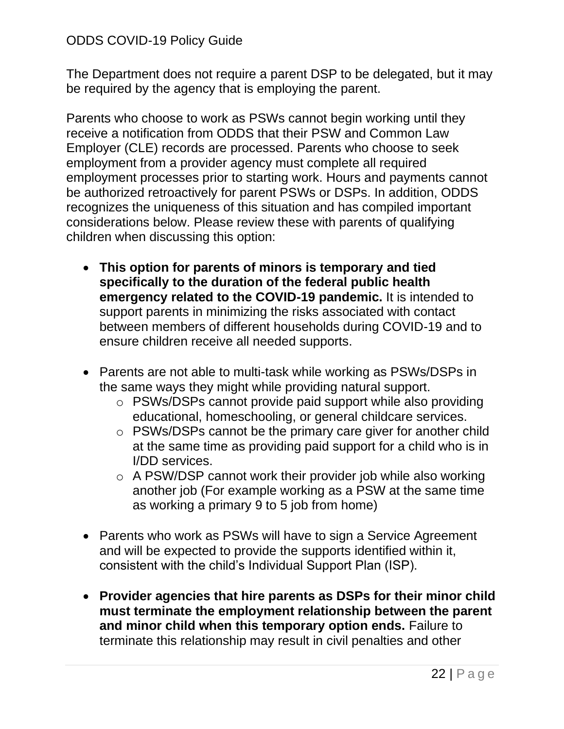The Department does not require a parent DSP to be delegated, but it may be required by the agency that is employing the parent.

Parents who choose to work as PSWs cannot begin working until they receive a notification from ODDS that their PSW and Common Law Employer (CLE) records are processed. Parents who choose to seek employment from a provider agency must complete all required employment processes prior to starting work. Hours and payments cannot be authorized retroactively for parent PSWs or DSPs. In addition, ODDS recognizes the uniqueness of this situation and has compiled important considerations below. Please review these with parents of qualifying children when discussing this option:

- **This option for parents of minors is temporary and tied specifically to the duration of the federal public health emergency related to the COVID-19 pandemic.** It is intended to support parents in minimizing the risks associated with contact between members of different households during COVID-19 and to ensure children receive all needed supports.
- Parents are not able to multi-task while working as PSWs/DSPs in the same ways they might while providing natural support.
	- o PSWs/DSPs cannot provide paid support while also providing educational, homeschooling, or general childcare services.
	- o PSWs/DSPs cannot be the primary care giver for another child at the same time as providing paid support for a child who is in I/DD services.
	- o A PSW/DSP cannot work their provider job while also working another job (For example working as a PSW at the same time as working a primary 9 to 5 job from home)
- Parents who work as PSWs will have to sign a Service Agreement and will be expected to provide the supports identified within it, consistent with the child's Individual Support Plan (ISP).
- **Provider agencies that hire parents as DSPs for their minor child must terminate the employment relationship between the parent and minor child when this temporary option ends.** Failure to terminate this relationship may result in civil penalties and other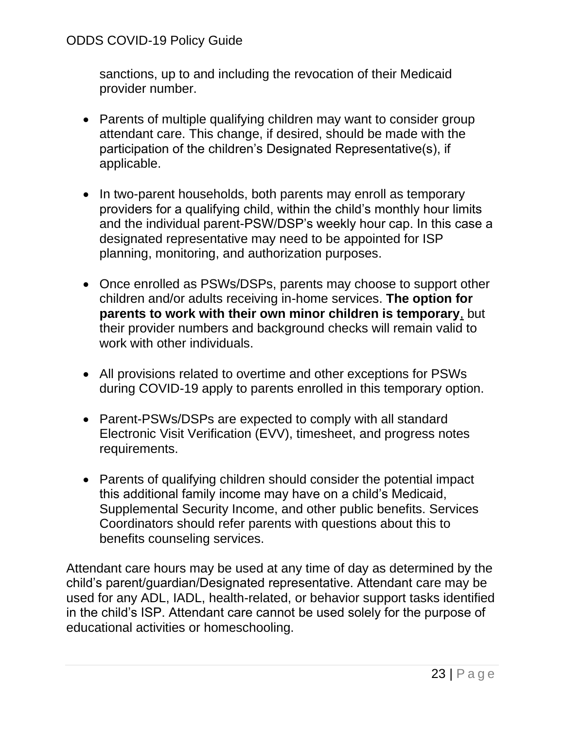sanctions, up to and including the revocation of their Medicaid provider number.

- Parents of multiple qualifying children may want to consider group attendant care. This change, if desired, should be made with the participation of the children's Designated Representative(s), if applicable.
- In two-parent households, both parents may enroll as temporary providers for a qualifying child, within the child's monthly hour limits and the individual parent-PSW/DSP's weekly hour cap. In this case a designated representative may need to be appointed for ISP planning, monitoring, and authorization purposes.
- Once enrolled as PSWs/DSPs, parents may choose to support other children and/or adults receiving in-home services. **The option for parents to work with their own minor children is temporary**, but their provider numbers and background checks will remain valid to work with other individuals.
- All provisions related to overtime and other exceptions for PSWs during COVID-19 apply to parents enrolled in this temporary option.
- Parent-PSWs/DSPs are expected to comply with all standard Electronic Visit Verification (EVV), timesheet, and progress notes requirements.
- Parents of qualifying children should consider the potential impact this additional family income may have on a child's Medicaid, Supplemental Security Income, and other public benefits. Services Coordinators should refer parents with questions about this to benefits counseling services.

Attendant care hours may be used at any time of day as determined by the child's parent/guardian/Designated representative. Attendant care may be used for any ADL, IADL, health-related, or behavior support tasks identified in the child's ISP. Attendant care cannot be used solely for the purpose of educational activities or homeschooling.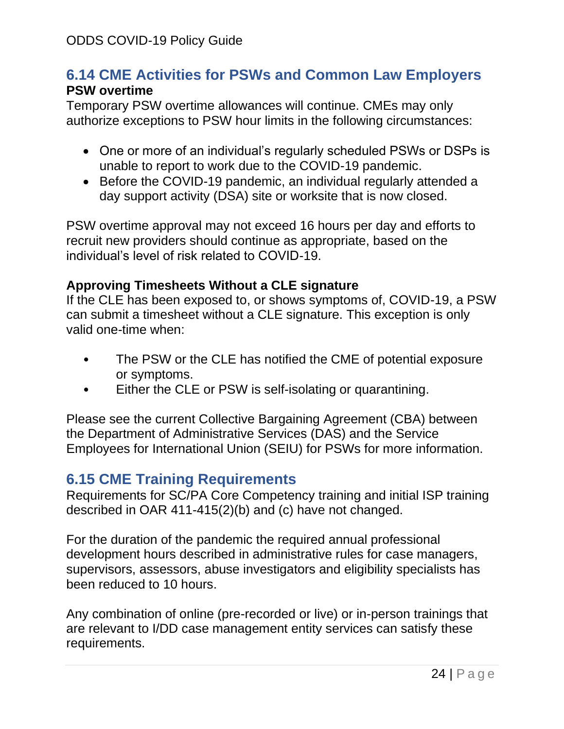# <span id="page-23-0"></span>**6.14 CME Activities for PSWs and Common Law Employers PSW overtime**

Temporary PSW overtime allowances will continue. CMEs may only authorize exceptions to PSW hour limits in the following circumstances:

- One or more of an individual's regularly scheduled PSWs or DSPs is unable to report to work due to the COVID-19 pandemic.
- Before the COVID-19 pandemic, an individual regularly attended a day support activity (DSA) site or worksite that is now closed.

PSW overtime approval may not exceed 16 hours per day and efforts to recruit new providers should continue as appropriate, based on the individual's level of risk related to COVID-19.

#### **Approving Timesheets Without a CLE signature**

If the CLE has been exposed to, or shows symptoms of, COVID-19, a PSW can submit a timesheet without a CLE signature. This exception is only valid one-time when:

- The PSW or the CLE has notified the CME of potential exposure or symptoms.
- Either the CLE or PSW is self-isolating or quarantining.

Please see the current Collective Bargaining Agreement (CBA) between the Department of Administrative Services (DAS) and the Service Employees for International Union (SEIU) for PSWs for more information.

# <span id="page-23-1"></span>**6.15 CME Training Requirements**

Requirements for SC/PA Core Competency training and initial ISP training described in OAR 411-415(2)(b) and (c) have not changed.

For the duration of the pandemic the required annual professional development hours described in administrative rules for case managers, supervisors, assessors, abuse investigators and eligibility specialists has been reduced to 10 hours.

Any combination of online (pre-recorded or live) or in-person trainings that are relevant to I/DD case management entity services can satisfy these requirements.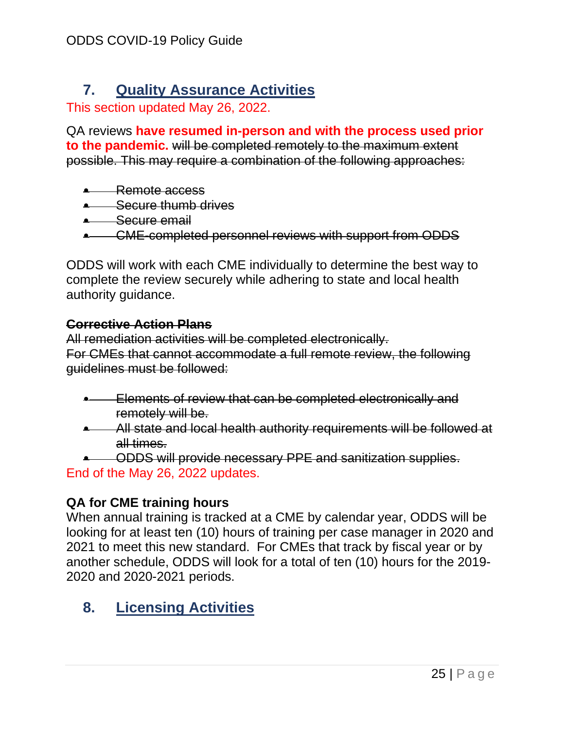# <span id="page-24-0"></span>**7. Quality Assurance Activities**

This section updated May 26, 2022.

QA reviews **have resumed in-person and with the process used prior to the pandemic.** will be completed remotely to the maximum extent possible. This may require a combination of the following approaches:

- Remote access
- Secure thumb drives
- **•** Secure email
- CME-completed personnel reviews with support from ODDS

ODDS will work with each CME individually to determine the best way to complete the review securely while adhering to state and local health authority guidance.

#### **Corrective Action Plans**

All remediation activities will be completed electronically. For CMEs that cannot accommodate a full remote review, the following guidelines must be followed:

- **Elements of review that can be completed electronically and** remotely will be.
- All state and local health authority requirements will be followed at all times.
- ODDS will provide necessary PPE and sanitization supplies. End of the May 26, 2022 updates.

## **QA for CME training hours**

When annual training is tracked at a CME by calendar year, ODDS will be looking for at least ten (10) hours of training per case manager in 2020 and 2021 to meet this new standard. For CMEs that track by fiscal year or by another schedule, ODDS will look for a total of ten (10) hours for the 2019- 2020 and 2020-2021 periods.

# <span id="page-24-1"></span>**8. Licensing Activities**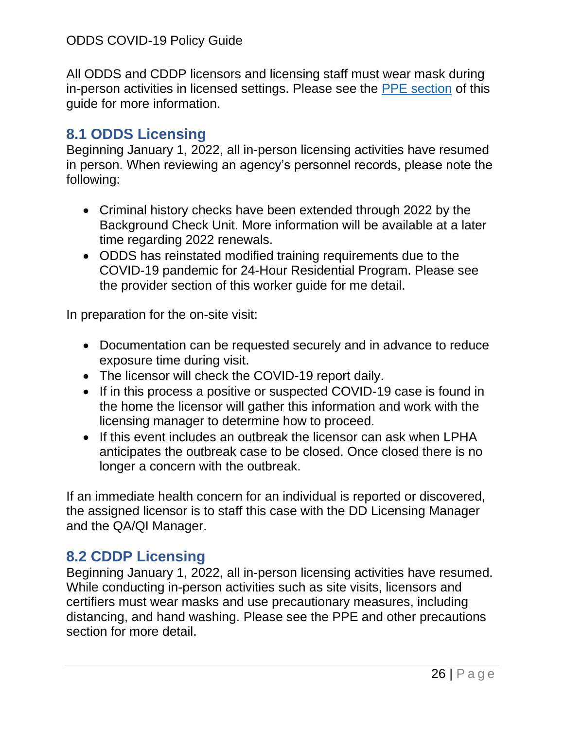All ODDS and CDDP licensors and licensing staff must wear mask during in-person activities in licensed settings. Please see the [PPE section](#page-5-0) of this guide for more information.

# <span id="page-25-0"></span>**8.1 ODDS Licensing**

Beginning January 1, 2022, all in-person licensing activities have resumed in person. When reviewing an agency's personnel records, please note the following:

- Criminal history checks have been extended through 2022 by the Background Check Unit. More information will be available at a later time regarding 2022 renewals.
- ODDS has reinstated modified training requirements due to the COVID-19 pandemic for 24-Hour Residential Program. Please see the provider section of this worker guide for me detail.

In preparation for the on-site visit:

- Documentation can be requested securely and in advance to reduce exposure time during visit.
- The licensor will check the COVID-19 report daily.
- If in this process a positive or suspected COVID-19 case is found in the home the licensor will gather this information and work with the licensing manager to determine how to proceed.
- If this event includes an outbreak the licensor can ask when LPHA anticipates the outbreak case to be closed. Once closed there is no longer a concern with the outbreak.

If an immediate health concern for an individual is reported or discovered, the assigned licensor is to staff this case with the DD Licensing Manager and the QA/QI Manager.

# <span id="page-25-1"></span>**8.2 CDDP Licensing**

Beginning January 1, 2022, all in-person licensing activities have resumed. While conducting in-person activities such as site visits, licensors and certifiers must wear masks and use precautionary measures, including distancing, and hand washing. Please see the PPE and other precautions section for more detail.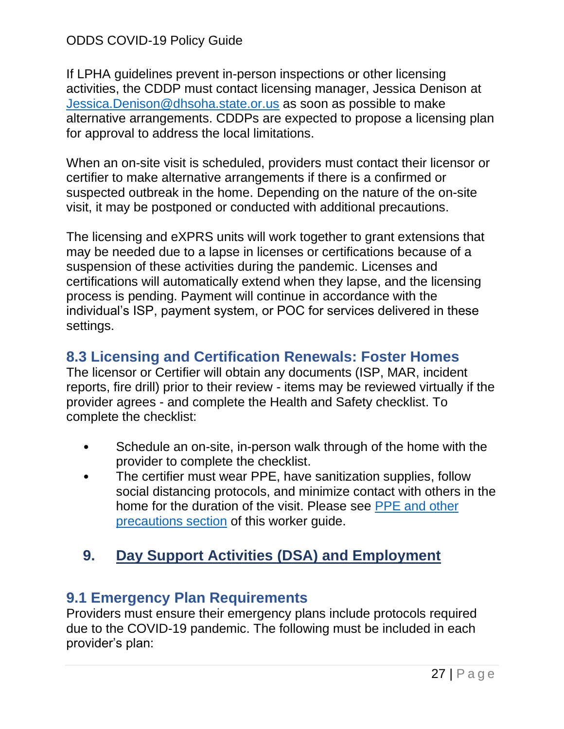If LPHA guidelines prevent in-person inspections or other licensing activities, the CDDP must contact licensing manager, Jessica Denison at [Jessica.Denison@dhsoha.state.or.us](mailto:Jessica.Denison@dhsoha.state.or.us) as soon as possible to make alternative arrangements. CDDPs are expected to propose a licensing plan for approval to address the local limitations.

When an on-site visit is scheduled, providers must contact their licensor or certifier to make alternative arrangements if there is a confirmed or suspected outbreak in the home. Depending on the nature of the on-site visit, it may be postponed or conducted with additional precautions.

The licensing and eXPRS units will work together to grant extensions that may be needed due to a lapse in licenses or certifications because of a suspension of these activities during the pandemic. Licenses and certifications will automatically extend when they lapse, and the licensing process is pending. Payment will continue in accordance with the individual's ISP, payment system, or POC for services delivered in these settings.

# <span id="page-26-0"></span>**8.3 Licensing and Certification Renewals: Foster Homes**

The licensor or Certifier will obtain any documents (ISP, MAR, incident reports, fire drill) prior to their review - items may be reviewed virtually if the provider agrees - and complete the Health and Safety checklist. To complete the checklist:

- Schedule an on-site, in-person walk through of the home with the provider to complete the checklist.
- The certifier must wear PPE, have sanitization supplies, follow social distancing protocols, and minimize contact with others in the home for the duration of the visit. Please see [PPE and other](#page-5-0)  [precautions section](#page-5-0) of this worker guide.

# <span id="page-26-1"></span>**9. Day Support Activities (DSA) and Employment**

# <span id="page-26-2"></span>**9.1 Emergency Plan Requirements**

Providers must ensure their emergency plans include protocols required due to the COVID-19 pandemic. The following must be included in each provider's plan: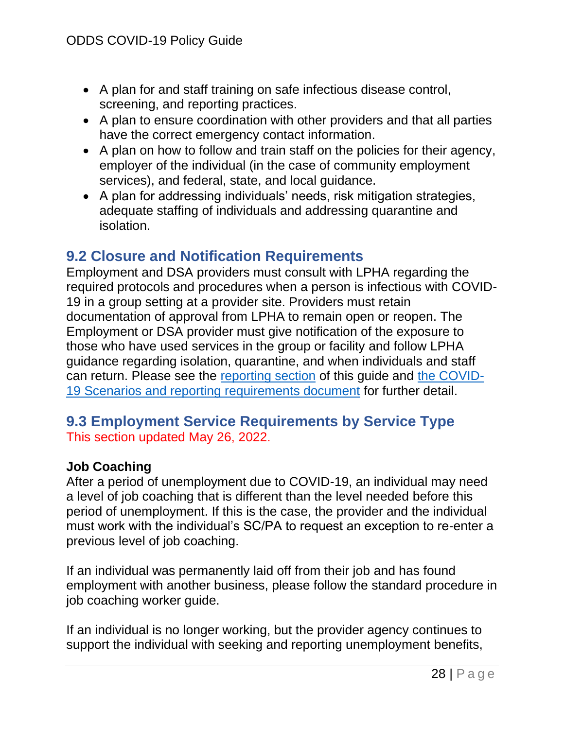- A plan for and staff training on safe infectious disease control, screening, and reporting practices.
- A plan to ensure coordination with other providers and that all parties have the correct emergency contact information.
- A plan on how to follow and train staff on the policies for their agency, employer of the individual (in the case of community employment services), and federal, state, and local guidance.
- A plan for addressing individuals' needs, risk mitigation strategies, adequate staffing of individuals and addressing quarantine and isolation.

# <span id="page-27-0"></span>**9.2 Closure and Notification Requirements**

Employment and DSA providers must consult with LPHA regarding the required protocols and procedures when a person is infectious with COVID-19 in a group setting at a provider site. Providers must retain documentation of approval from LPHA to remain open or reopen. The Employment or DSA provider must give notification of the exposure to those who have used services in the group or facility and follow LPHA guidance regarding isolation, quarantine, and when individuals and staff can return. Please see the [reporting section](#page-7-2) of this guide and [the COVID-](https://www.oregon.gov/DHS/SENIORS-DISABILITIES/DD/ODDS%20Resource%20Library/Scenarios-ODDS-Services-Related-COVID-19.pdf)[19 Scenarios and reporting requirements document](https://www.oregon.gov/DHS/SENIORS-DISABILITIES/DD/ODDS%20Resource%20Library/Scenarios-ODDS-Services-Related-COVID-19.pdf) for further detail.

# <span id="page-27-1"></span>**9.3 Employment Service Requirements by Service Type** This section updated May 26, 2022.

## **Job Coaching**

After a period of unemployment due to COVID-19, an individual may need a level of job coaching that is different than the level needed before this period of unemployment. If this is the case, the provider and the individual must work with the individual's SC/PA to request an exception to re-enter a previous level of job coaching.

If an individual was permanently laid off from their job and has found employment with another business, please follow the standard procedure in job coaching worker guide.

If an individual is no longer working, but the provider agency continues to support the individual with seeking and reporting unemployment benefits,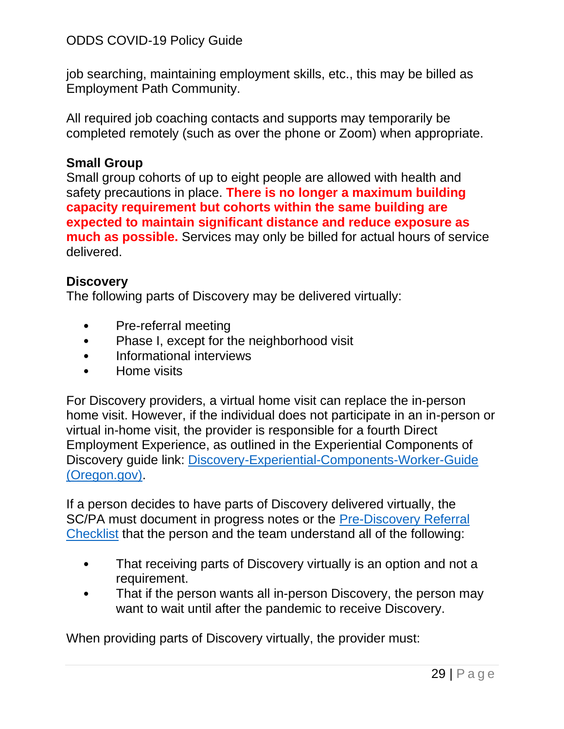job searching, maintaining employment skills, etc., this may be billed as Employment Path Community.

All required job coaching contacts and supports may temporarily be completed remotely (such as over the phone or Zoom) when appropriate.

#### **Small Group**

Small group cohorts of up to eight people are allowed with health and safety precautions in place. **There is no longer a maximum building capacity requirement but cohorts within the same building are expected to maintain significant distance and reduce exposure as much as possible.** Services may only be billed for actual hours of service delivered.

#### **Discovery**

The following parts of Discovery may be delivered virtually:

- Pre-referral meeting
- Phase I, except for the neighborhood visit
- Informational interviews
- Home visits

For Discovery providers, a virtual home visit can replace the in-person home visit. However, if the individual does not participate in an in-person or virtual in-home visit, the provider is responsible for a fourth Direct Employment Experience, as outlined in the Experiential Components of Discovery guide link: [Discovery-Experiential-Components-Worker-Guide](https://www.oregon.gov/dhs/EMPLOYMENT/EMPLOYMENT-FIRST/Policy/Discovery-Experiential-Components-Worker-Guide.pdf) [\(Oregon.gov\).](https://www.oregon.gov/dhs/EMPLOYMENT/EMPLOYMENT-FIRST/Policy/Discovery-Experiential-Components-Worker-Guide.pdf)

If a person decides to have parts of Discovery delivered virtually, the SC/PA must document in progress notes or the [Pre-Discovery Referral](https://www.oregon.gov/dhs/EMPLOYMENT/EMPLOYMENT-FIRST/Policy/Pre-Discovery-Checklist.docx)  [Checklist](https://www.oregon.gov/dhs/EMPLOYMENT/EMPLOYMENT-FIRST/Policy/Pre-Discovery-Checklist.docx) that the person and the team understand all of the following:

- That receiving parts of Discovery virtually is an option and not a requirement.
- That if the person wants all in-person Discovery, the person may want to wait until after the pandemic to receive Discovery.

When providing parts of Discovery virtually, the provider must: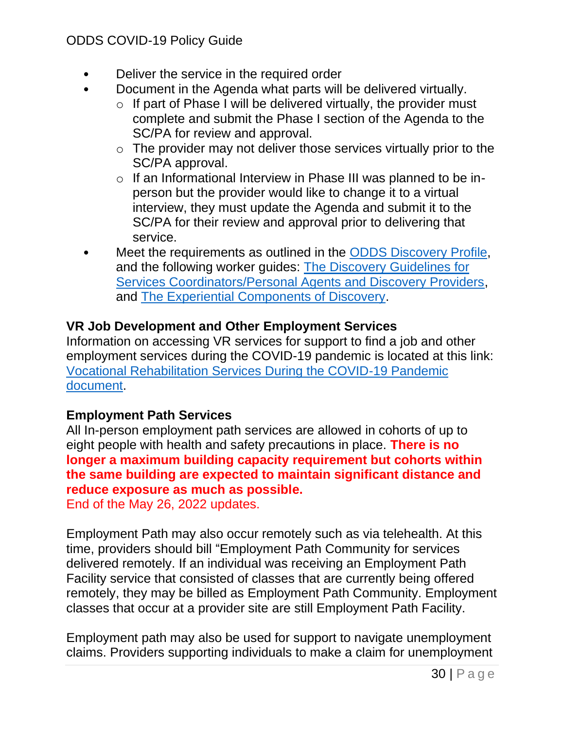- Deliver the service in the required order
- Document in the Agenda what parts will be delivered virtually.
	- $\circ$  If part of Phase I will be delivered virtually, the provider must complete and submit the Phase I section of the Agenda to the SC/PA for review and approval.
	- $\circ$  The provider may not deliver those services virtually prior to the SC/PA approval.
	- o If an Informational Interview in Phase III was planned to be inperson but the provider would like to change it to a virtual interview, they must update the Agenda and submit it to the SC/PA for their review and approval prior to delivering that service.
- Meet the requirements as outlined in the [ODDS Discovery Profile,](https://www.oregon.gov/dhs/EMPLOYMENT/EMPLOYMENT-FIRST/Policy/Discovery-Profile-2021.pdf) and the following worker guides: [The Discovery Guidelines for](https://www.oregon.gov/dhs/EMPLOYMENT/EMPLOYMENT-FIRST/Policy/Discovery-Guidelines-Service%20Coordinators-Personal-Agents-Providers-Worker-Guide.pdf)  [Services Coordinators/Personal Agents and Discovery Providers,](https://www.oregon.gov/dhs/EMPLOYMENT/EMPLOYMENT-FIRST/Policy/Discovery-Guidelines-Service%20Coordinators-Personal-Agents-Providers-Worker-Guide.pdf) and [The Experiential Components of Discovery.](https://www.oregon.gov/dhs/EMPLOYMENT/EMPLOYMENT-FIRST/Policy/Discovery-Experiential-Components-Worker-Guide.pdf)

## **VR Job Development and Other Employment Services**

Information on accessing VR services for support to find a job and other employment services during the COVID-19 pandemic is located at this link: [Vocational Rehabilitation Services During the COVID-19 Pandemic](https://www.oregon.gov/DHS/EMPLOYMENT/VR/Documents/Applying%20for%20VR%20during%20COVID-19.pdf)  [document.](https://www.oregon.gov/DHS/EMPLOYMENT/VR/Documents/Applying%20for%20VR%20during%20COVID-19.pdf)

## **Employment Path Services**

All In-person employment path services are allowed in cohorts of up to eight people with health and safety precautions in place. **There is no longer a maximum building capacity requirement but cohorts within the same building are expected to maintain significant distance and reduce exposure as much as possible.**

End of the May 26, 2022 updates.

Employment Path may also occur remotely such as via telehealth. At this time, providers should bill "Employment Path Community for services delivered remotely. If an individual was receiving an Employment Path Facility service that consisted of classes that are currently being offered remotely, they may be billed as Employment Path Community. Employment classes that occur at a provider site are still Employment Path Facility.

Employment path may also be used for support to navigate unemployment claims. Providers supporting individuals to make a claim for unemployment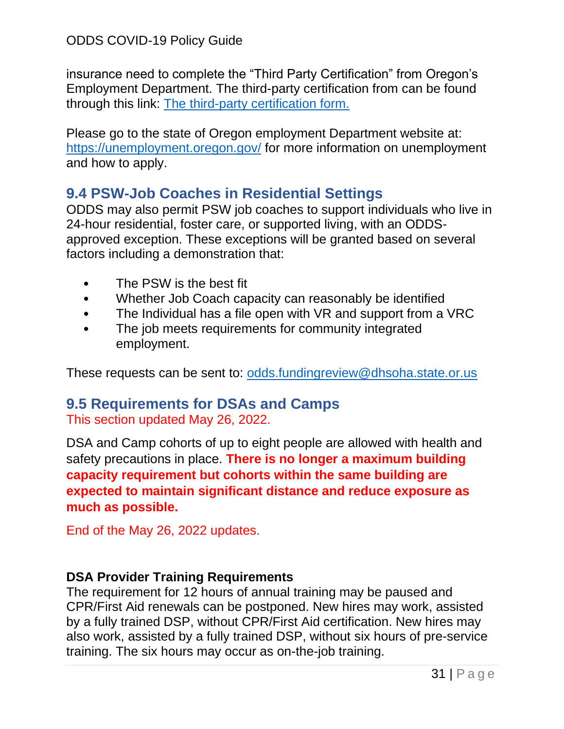insurance need to complete the "Third Party Certification" from Oregon's Employment Department. The third-party certification from can be found through this link: The third-party [certification form.](https://www.oregon.gov/dhs/EMPLOYMENT/EMPLOYMENT-FIRST/Documents/Third-Party-Certification-Filing-Initial-Unemployment-Insurance-Claim-Applications-ODDS.docx)

Please go to the state of Oregon employment Department website at: <https://unemployment.oregon.gov/> for more information on unemployment and how to apply.

# <span id="page-30-0"></span>**9.4 PSW-Job Coaches in Residential Settings**

ODDS may also permit PSW job coaches to support individuals who live in 24-hour residential, foster care, or supported living, with an ODDSapproved exception. These exceptions will be granted based on several factors including a demonstration that:

- The PSW is the best fit
- Whether Job Coach capacity can reasonably be identified
- The Individual has a file open with VR and support from a VRC
- The job meets requirements for community integrated employment.

These requests can be sent to: [odds.fundingreview@dhsoha.state.or.us](mailto:odds.fundingreview@dhsoha.state.or.us)

## <span id="page-30-1"></span>**9.5 Requirements for DSAs and Camps** This section updated May 26, 2022.

DSA and Camp cohorts of up to eight people are allowed with health and safety precautions in place. **There is no longer a maximum building capacity requirement but cohorts within the same building are expected to maintain significant distance and reduce exposure as much as possible.**

End of the May 26, 2022 updates.

# **DSA Provider Training Requirements**

The requirement for 12 hours of annual training may be paused and CPR/First Aid renewals can be postponed. New hires may work, assisted by a fully trained DSP, without CPR/First Aid certification. New hires may also work, assisted by a fully trained DSP, without six hours of pre-service training. The six hours may occur as on-the-job training.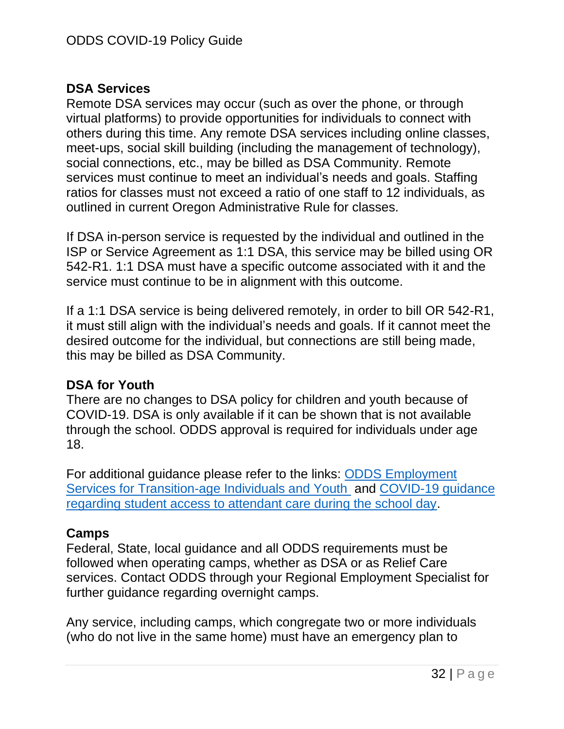#### **DSA Services**

Remote DSA services may occur (such as over the phone, or through virtual platforms) to provide opportunities for individuals to connect with others during this time. Any remote DSA services including online classes, meet-ups, social skill building (including the management of technology), social connections, etc., may be billed as DSA Community. Remote services must continue to meet an individual's needs and goals. Staffing ratios for classes must not exceed a ratio of one staff to 12 individuals, as outlined in current Oregon Administrative Rule for classes.

If DSA in-person service is requested by the individual and outlined in the ISP or Service Agreement as 1:1 DSA, this service may be billed using OR 542-R1. 1:1 DSA must have a specific outcome associated with it and the service must continue to be in alignment with this outcome.

If a 1:1 DSA service is being delivered remotely, in order to bill OR 542-R1, it must still align with the individual's needs and goals. If it cannot meet the desired outcome for the individual, but connections are still being made, this may be billed as DSA Community.

## **DSA for Youth**

There are no changes to DSA policy for children and youth because of COVID-19. DSA is only available if it can be shown that is not available through the school. ODDS approval is required for individuals under age 18.

For additional guidance please refer to the links: [ODDS Employment](https://www.oregon.gov/dhs/EMPLOYMENT/EMPLOYMENT-FIRST/Policy/WorkersGuide-ODDS-Employment-Services-Transition-age-Individuals-Youth-03.08.19.pdf)  [Services for Transition-age Individuals and Youth](https://www.oregon.gov/dhs/EMPLOYMENT/EMPLOYMENT-FIRST/Policy/WorkersGuide-ODDS-Employment-Services-Transition-age-Individuals-Youth-03.08.19.pdf) and [COVID-19 guidance](https://www.oregon.gov/dhs/SENIORS-DISABILITIES/DD/DirectorMessages/ODDS-Director-School-Guidance.pdf)  [regarding student access to attendant care during the school day.](https://www.oregon.gov/dhs/SENIORS-DISABILITIES/DD/DirectorMessages/ODDS-Director-School-Guidance.pdf)

#### **Camps**

Federal, State, local guidance and all ODDS requirements must be followed when operating camps, whether as DSA or as Relief Care services. Contact ODDS through your Regional Employment Specialist for further guidance regarding overnight camps.

Any service, including camps, which congregate two or more individuals (who do not live in the same home) must have an emergency plan to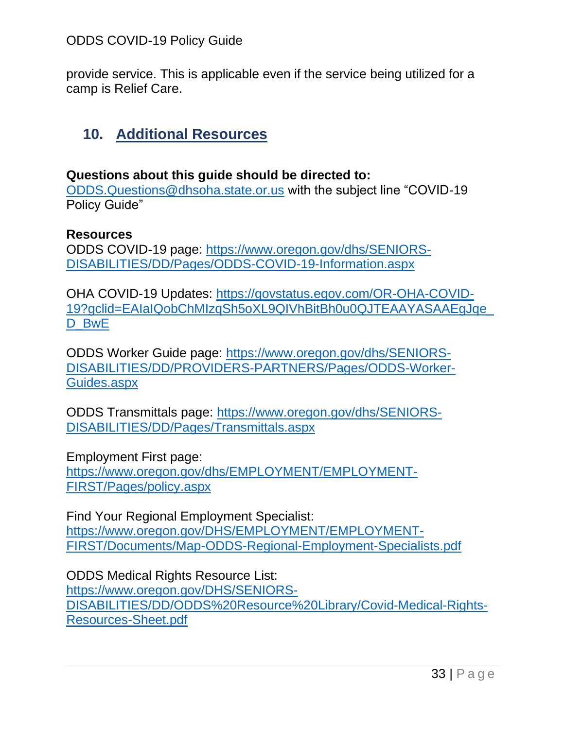provide service. This is applicable even if the service being utilized for a camp is Relief Care.

# <span id="page-32-0"></span>**10. Additional Resources**

#### **Questions about this guide should be directed to:**

[ODDS.Questions@dhsoha.state.or.us](mailto:ODDS.Questions@dhsoha.state.or.us) with the subject line "COVID-19 Policy Guide"

#### **Resources**

ODDS COVID-19 page: [https://www.oregon.gov/dhs/SENIORS-](https://www.oregon.gov/dhs/SENIORS-DISABILITIES/DD/Pages/ODDS-COVID-19-Information.aspx)[DISABILITIES/DD/Pages/ODDS-COVID-19-Information.aspx](https://www.oregon.gov/dhs/SENIORS-DISABILITIES/DD/Pages/ODDS-COVID-19-Information.aspx) 

OHA COVID-19 Updates: [https://govstatus.egov.com/OR-OHA-COVID-](https://govstatus.egov.com/OR-OHA-COVID-19?gclid=EAIaIQobChMIzqSh5oXL9QIVhBitBh0u0QJTEAAYASAAEgJqe_D_BwE)[19?gclid=EAIaIQobChMIzqSh5oXL9QIVhBitBh0u0QJTEAAYASAAEgJqe\\_](https://govstatus.egov.com/OR-OHA-COVID-19?gclid=EAIaIQobChMIzqSh5oXL9QIVhBitBh0u0QJTEAAYASAAEgJqe_D_BwE) D\_BwE

ODDS Worker Guide page: [https://www.oregon.gov/dhs/SENIORS-](https://www.oregon.gov/dhs/SENIORS-DISABILITIES/DD/PROVIDERS-PARTNERS/Pages/ODDS-Worker-Guides.aspx)[DISABILITIES/DD/PROVIDERS-PARTNERS/Pages/ODDS-Worker-](https://www.oregon.gov/dhs/SENIORS-DISABILITIES/DD/PROVIDERS-PARTNERS/Pages/ODDS-Worker-Guides.aspx)[Guides.aspx](https://www.oregon.gov/dhs/SENIORS-DISABILITIES/DD/PROVIDERS-PARTNERS/Pages/ODDS-Worker-Guides.aspx) 

ODDS Transmittals page: [https://www.oregon.gov/dhs/SENIORS-](https://www.oregon.gov/dhs/SENIORS-DISABILITIES/DD/Pages/Transmittals.aspx)[DISABILITIES/DD/Pages/Transmittals.aspx](https://www.oregon.gov/dhs/SENIORS-DISABILITIES/DD/Pages/Transmittals.aspx) 

Employment First page:

[https://www.oregon.gov/dhs/EMPLOYMENT/EMPLOYMENT-](https://www.oregon.gov/dhs/EMPLOYMENT/EMPLOYMENT-FIRST/Pages/policy.aspx)[FIRST/Pages/policy.aspx](https://www.oregon.gov/dhs/EMPLOYMENT/EMPLOYMENT-FIRST/Pages/policy.aspx)

Find Your Regional Employment Specialist: [https://www.oregon.gov/DHS/EMPLOYMENT/EMPLOYMENT-](https://www.oregon.gov/DHS/EMPLOYMENT/EMPLOYMENT-FIRST/Documents/Map-ODDS-Regional-Employment-Specialists.pdf)[FIRST/Documents/Map-ODDS-Regional-Employment-Specialists.pdf](https://www.oregon.gov/DHS/EMPLOYMENT/EMPLOYMENT-FIRST/Documents/Map-ODDS-Regional-Employment-Specialists.pdf) 

ODDS Medical Rights Resource List: [https://www.oregon.gov/DHS/SENIORS-](https://www.oregon.gov/DHS/SENIORS-DISABILITIES/DD/ODDS%20Resource%20Library/Covid-Medical-Rights-Resources-Sheet.pdf)[DISABILITIES/DD/ODDS%20Resource%20Library/Covid-Medical-Rights-](https://www.oregon.gov/DHS/SENIORS-DISABILITIES/DD/ODDS%20Resource%20Library/Covid-Medical-Rights-Resources-Sheet.pdf)[Resources-Sheet.pdf](https://www.oregon.gov/DHS/SENIORS-DISABILITIES/DD/ODDS%20Resource%20Library/Covid-Medical-Rights-Resources-Sheet.pdf)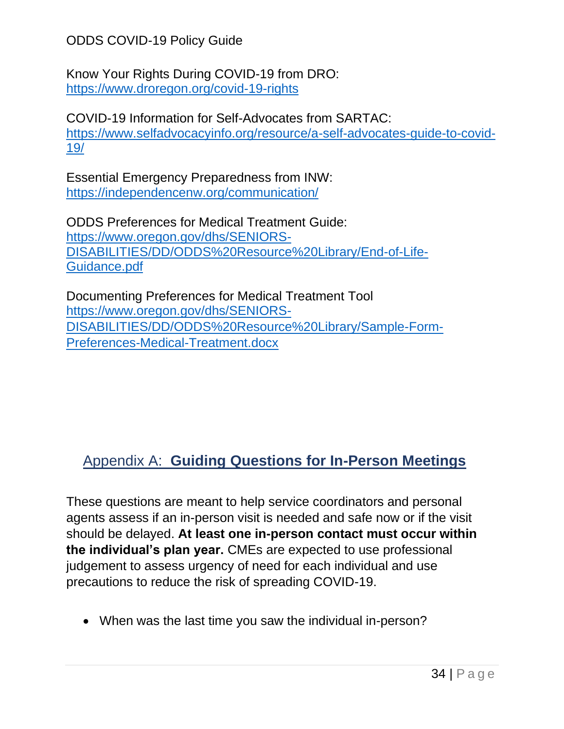Know Your Rights During COVID-19 from DRO: <https://www.droregon.org/covid-19-rights>

COVID-19 Information for Self-Advocates from SARTAC: [https://www.selfadvocacyinfo.org/resource/a-self-advocates-guide-to-covid-](https://www.selfadvocacyinfo.org/resource/a-self-advocates-guide-to-covid-19/)[19/](https://www.selfadvocacyinfo.org/resource/a-self-advocates-guide-to-covid-19/) 

Essential Emergency Preparedness from INW: <https://independencenw.org/communication/>

ODDS Preferences for Medical Treatment Guide: [https://www.oregon.gov/dhs/SENIORS-](https://www.oregon.gov/dhs/SENIORS-DISABILITIES/DD/ODDS%20Resource%20Library/End-of-Life-Guidance.pdf)[DISABILITIES/DD/ODDS%20Resource%20Library/End-of-Life-](https://www.oregon.gov/dhs/SENIORS-DISABILITIES/DD/ODDS%20Resource%20Library/End-of-Life-Guidance.pdf)[Guidance.pdf](https://www.oregon.gov/dhs/SENIORS-DISABILITIES/DD/ODDS%20Resource%20Library/End-of-Life-Guidance.pdf) 

Documenting Preferences for Medical Treatment Tool [https://www.oregon.gov/dhs/SENIORS-](https://www.oregon.gov/dhs/SENIORS-DISABILITIES/DD/ODDS%20Resource%20Library/Sample-Form-Preferences-Medical-Treatment.docx)[DISABILITIES/DD/ODDS%20Resource%20Library/Sample-Form-](https://www.oregon.gov/dhs/SENIORS-DISABILITIES/DD/ODDS%20Resource%20Library/Sample-Form-Preferences-Medical-Treatment.docx)[Preferences-Medical-Treatment.docx](https://www.oregon.gov/dhs/SENIORS-DISABILITIES/DD/ODDS%20Resource%20Library/Sample-Form-Preferences-Medical-Treatment.docx)

# <span id="page-33-1"></span><span id="page-33-0"></span>Appendix A: **Guiding Questions for In-Person Meetings**

These questions are meant to help service coordinators and personal agents assess if an in-person visit is needed and safe now or if the visit should be delayed. **At least one in-person contact must occur within the individual's plan year.** CMEs are expected to use professional judgement to assess urgency of need for each individual and use precautions to reduce the risk of spreading COVID-19.

• When was the last time you saw the individual in-person?